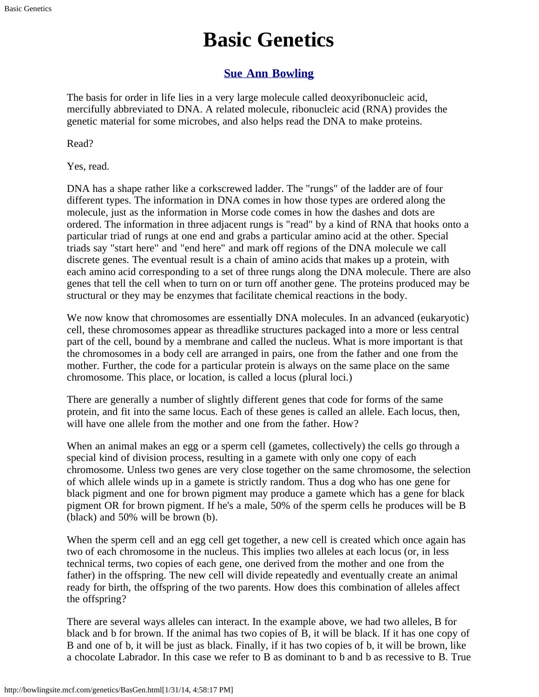## **Basic Genetics**

### **[Sue Ann Bowling](http://www.sueannbowling.com/)**

<span id="page-0-0"></span>The basis for order in life lies in a very large molecule called deoxyribonucleic acid, mercifully abbreviated to DNA. A related molecule, ribonucleic acid (RNA) provides the genetic material for some microbes, and also helps read the DNA to make proteins.

Read?

Yes, read.

DNA has a shape rather like a corkscrewed ladder. The "rungs" of the ladder are of four different types. The information in DNA comes in how those types are ordered along the molecule, just as the information in Morse code comes in how the dashes and dots are ordered. The information in three adjacent rungs is "read" by a kind of RNA that hooks onto a particular triad of rungs at one end and grabs a particular amino acid at the other. Special triads say "start here" and "end here" and mark off regions of the DNA molecule we call discrete genes. The eventual result is a chain of amino acids that makes up a protein, with each amino acid corresponding to a set of three rungs along the DNA molecule. There are also genes that tell the cell when to turn on or turn off another gene. The proteins produced may be structural or they may be enzymes that facilitate chemical reactions in the body.

We now know that chromosomes are essentially DNA molecules. In an advanced (eukaryotic) cell, these chromosomes appear as threadlike structures packaged into a more or less central part of the cell, bound by a membrane and called the nucleus. What is more important is that the chromosomes in a body cell are arranged in pairs, one from the father and one from the mother. Further, the code for a particular protein is always on the same place on the same chromosome. This place, or location, is called a locus (plural loci.)

There are generally a number of slightly different genes that code for forms of the same protein, and fit into the same locus. Each of these genes is called an allele. Each locus, then, will have one allele from the mother and one from the father. How?

When an animal makes an egg or a sperm cell (gametes, collectively) the cells go through a special kind of division process, resulting in a gamete with only one copy of each chromosome. Unless two genes are very close together on the same chromosome, the selection of which allele winds up in a gamete is strictly random. Thus a dog who has one gene for black pigment and one for brown pigment may produce a gamete which has a gene for black pigment OR for brown pigment. If he's a male, 50% of the sperm cells he produces will be B (black) and 50% will be brown (b).

When the sperm cell and an egg cell get together, a new cell is created which once again has two of each chromosome in the nucleus. This implies two alleles at each locus (or, in less technical terms, two copies of each gene, one derived from the mother and one from the father) in the offspring. The new cell will divide repeatedly and eventually create an animal ready for birth, the offspring of the two parents. How does this combination of alleles affect the offspring?

There are several ways alleles can interact. In the example above, we had two alleles, B for black and b for brown. If the animal has two copies of B, it will be black. If it has one copy of B and one of b, it will be just as black. Finally, if it has two copies of b, it will be brown, like a chocolate Labrador. In this case we refer to B as dominant to b and b as recessive to B. True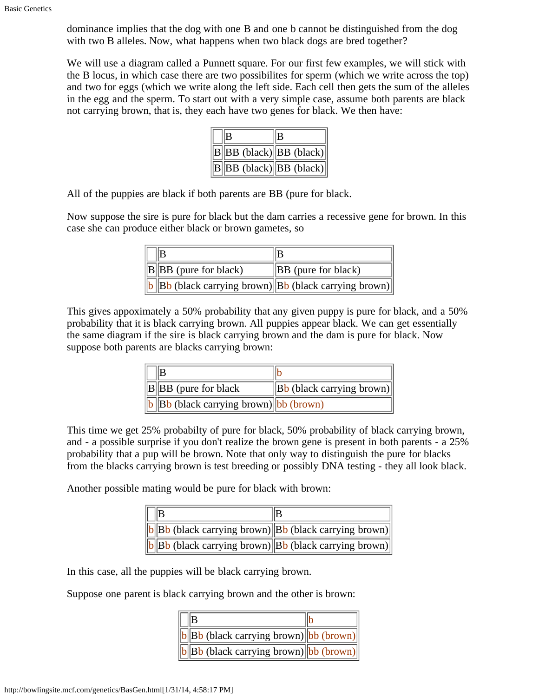dominance implies that the dog with one B and one b cannot be distinguished from the dog with two B alleles. Now, what happens when two black dogs are bred together?

We will use a diagram called a Punnett square. For our first few examples, we will stick with the B locus, in which case there are two possibilites for sperm (which we write across the top) and two for eggs (which we write along the left side. Each cell then gets the sum of the alleles in the egg and the sperm. To start out with a very simple case, assume both parents are black not carrying brown, that is, they each have two genes for black. We then have:

| $\ B\ BB$ (black) $ BB$ (black)  |  |
|----------------------------------|--|
| $  B  BB$ (black) $  BB$ (black) |  |

All of the puppies are black if both parents are BB (pure for black.

Now suppose the sire is pure for black but the dam carries a recessive gene for brown. In this case she can produce either black or brown gametes, so

| $\ B\ BB$ (pure for black) | $\ BB$ (pure for black)                                     |
|----------------------------|-------------------------------------------------------------|
|                            | $\ b\ $ Bb (black carrying brown) Bb (black carrying brown) |

This gives appoximately a 50% probability that any given puppy is pure for black, and a 50% probability that it is black carrying brown. All puppies appear black. We can get essentially the same diagram if the sire is black carrying brown and the dam is pure for black. Now suppose both parents are blacks carrying brown:

| $\ B\ BB$ (pure for black)                   | $\ $ Bb (black carrying brown) |
|----------------------------------------------|--------------------------------|
| $\ b\ $ Bb (black carrying brown) bb (brown) |                                |

This time we get 25% probabilty of pure for black, 50% probability of black carrying brown, and - a possible surprise if you don't realize the brown gene is present in both parents - a 25% probability that a pup will be brown. Note that only way to distinguish the pure for blacks from the blacks carrying brown is test breeding or possibly DNA testing - they all look black.

Another possible mating would be pure for black with brown:

|  | $\ b\ Bb$ (black carrying brown) $\ Bb$ (black carrying brown)                                               |
|--|--------------------------------------------------------------------------------------------------------------|
|  | $\ \mathbf{b}\ \mathbf{B}\mathbf{b}$ (black carrying brown) $\ \mathbf{B}\mathbf{b}\$ (black carrying brown) |

In this case, all the puppies will be black carrying brown.

Suppose one parent is black carrying brown and the other is brown:

| B                                                |  |
|--------------------------------------------------|--|
| $\ b\ $ Bb (black carrying brown) bb (brown)     |  |
| $\boxed{b}$ Bb (black carrying brown) bb (brown) |  |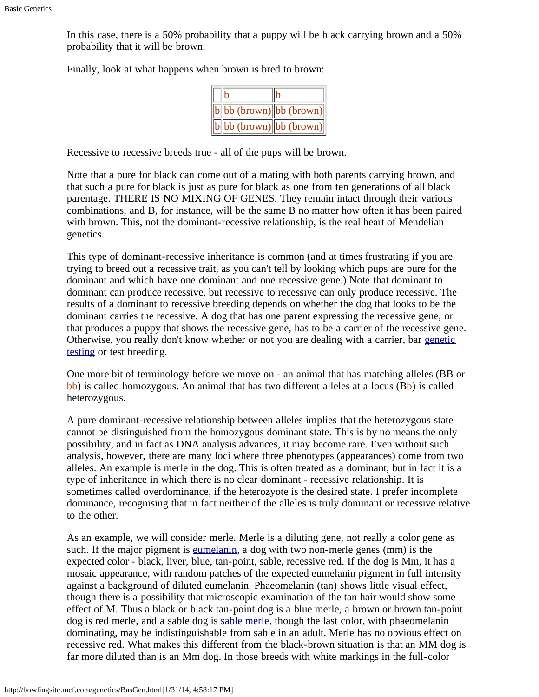In this case, there is a 50% probability that a puppy will be black carrying brown and a 50% probability that it will be brown.

Finally, look at what happens when brown is bred to brown:

|  | $\ b\ $ bb (brown) $\ $ bb (brown) $\ $ |
|--|-----------------------------------------|
|  | $\ b\ $ bb (brown) bb (brown)           |

Recessive to recessive breeds true - all of the pups will be brown.

Note that a pure for black can come out of a mating with both parents carrying brown, and that such a pure for black is just as pure for black as one from ten generations of all black parentage. THERE IS NO MIXING OF GENES. They remain intact through their various combinations, and B, for instance, will be the same B no matter how often it has been paired with brown. This, not the dominant-recessive relationship, is the real heart of Mendelian genetics.

This type of dominant-recessive inheritance is common (and at times frustrating if you are trying to breed out a recessive trait, as you can't tell by looking which pups are pure for the dominant and which have one dominant and one recessive gene.) Note that dominant to dominant can produce recessive, but recessive to recessive can only produce recessive. The results of a dominant to recessive breeding depends on whether the dog that looks to be the dominant carries the recessive. A dog that has one parent expressing the recessive gene, or that produces a puppy that shows the recessive gene, has to be a carrier of the recessive gene. Otherwise, you really don't know whether or not you are dealing with a carrier, bar [genetic](http://www.vetgen.com/color.html) [testing](http://www.vetgen.com/color.html) or test breeding.

One more bit of terminology before we move on - an animal that has matching alleles (BB or bb) is called homozygous. An animal that has two different alleles at a locus (Bb) is called heterozygous.

A pure dominant-recessive relationship between alleles implies that the heterozygous state cannot be distinguished from the homozygous dominant state. This is by no means the only possibility, and in fact as DNA analysis advances, it may become rare. Even without such analysis, however, there are many loci where three phenotypes (appearances) come from two alleles. An example is merle in the dog. This is often treated as a dominant, but in fact it is a type of inheritance in which there is no clear dominant - recessive relationship. It is sometimes called overdominance, if the heterozyote is the desired state. I prefer incomplete dominance, recognising that in fact neither of the alleles is truly dominant or recessive relative to the other.

As an example, we will consider merle. Merle is a diluting gene, not really a color gene as such. If the major pigment is [eumelanin](http://bowlingsite.mcf.com/genetics/ColorGen.html#melanin), a dog with two non-merle genes (mm) is the expected color - black, liver, blue, tan-point, sable, recessive red. If the dog is Mm, it has a mosaic appearance, with random patches of the expected eumelanin pigment in full intensity against a background of diluted eumelanin. Phaeomelanin (tan) shows little visual effect, though there is a possibility that microscopic examination of the tan hair would show some effect of M. Thus a black or black tan-point dog is a blue merle, a brown or brown tan-point dog is red merle, and a sable dog is [sable merle,](http://bowlingsite.mcf.com/genetics/SableMerles.html) though the last color, with phaeomelanin dominating, may be indistinguishable from sable in an adult. Merle has no obvious effect on recessive red. What makes this different from the black-brown situation is that an MM dog is far more diluted than is an Mm dog. In those breeds with white markings in the full-color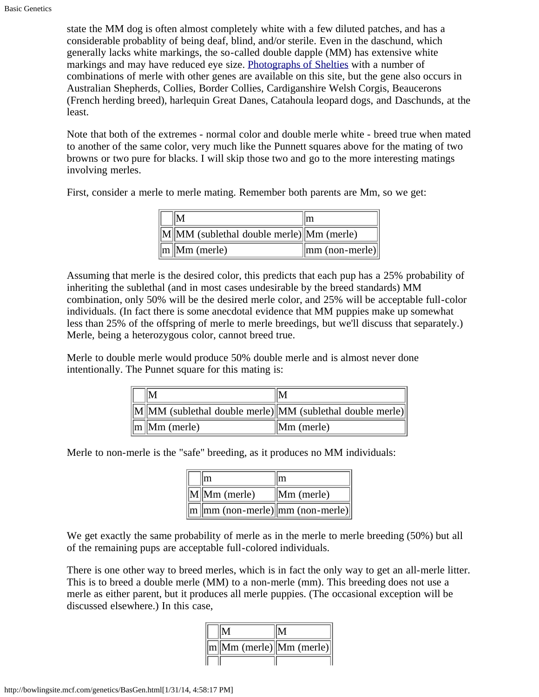state the MM dog is often almost completely white with a few diluted patches, and has a considerable probablity of being deaf, blind, and/or sterile. Even in the daschund, which generally lacks white markings, the so-called double dapple (MM) has extensive white markings and may have reduced eye size. [Photographs of Shelties](http://bowlingsite.mcf.com/genetics/Photindex.html#BMT) with a number of combinations of merle with other genes are available on this site, but the gene also occurs in Australian Shepherds, Collies, Border Collies, Cardiganshire Welsh Corgis, Beaucerons (French herding breed), harlequin Great Danes, Catahoula leopard dogs, and Daschunds, at the least.

Note that both of the extremes - normal color and double merle white - breed true when mated to another of the same color, very much like the Punnett squares above for the mating of two browns or two pure for blacks. I will skip those two and go to the more interesting matings involving merles.

First, consider a merle to merle mating. Remember both parents are Mm, so we get:

|                                                | ım                                     |
|------------------------------------------------|----------------------------------------|
| $\ M\ $ MM (sublethal double merle) Mm (merle) |                                        |
| $\ m\ $ Mm (merle)                             | $\parallel$ mm (non-merle) $\parallel$ |

Assuming that merle is the desired color, this predicts that each pup has a 25% probability of inheriting the sublethal (and in most cases undesirable by the breed standards) MM combination, only 50% will be the desired merle color, and 25% will be acceptable full-color individuals. (In fact there is some anecdotal evidence that MM puppies make up somewhat less than 25% of the offspring of merle to merle breedings, but we'll discuss that separately.) Merle, being a heterozygous color, cannot breed true.

Merle to double merle would produce 50% double merle and is almost never done intentionally. The Punnet square for this mating is:

|                    | $\ M\ $ MM (sublethal double merle) MM (sublethal double merle) |
|--------------------|-----------------------------------------------------------------|
| $\ m\ $ Mm (merle) | $\parallel$ Mm (merle)                                          |

Merle to non-merle is the "safe" breeding, as it produces no MM individuals:

|                                                | Im                     |
|------------------------------------------------|------------------------|
| $\ M\ $ Mm (merle)                             | $\parallel$ Mm (merle) |
| $\ m\ $ mm (non-merle) $\ mm$ (non-merle) $\ $ |                        |

We get exactly the same probability of merle as in the merle to merle breeding (50%) but all of the remaining pups are acceptable full-colored individuals.

There is one other way to breed merles, which is in fact the only way to get an all-merle litter. This is to breed a double merle (MM) to a non-merle (mm). This breeding does not use a merle as either parent, but it produces all merle puppies. (The occasional exception will be discussed elsewhere.) In this case,

| $\ m\ $ Mm (merle) $\ Mm$ (merle) $\ $ |  |
|----------------------------------------|--|
|                                        |  |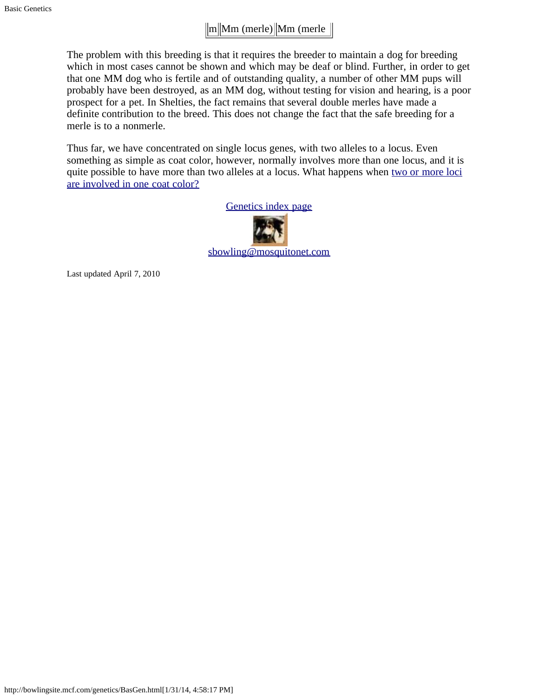### $\|m\|$ Mm (merle) $\|$ Mm (merle  $\|$

The problem with this breeding is that it requires the breeder to maintain a dog for breeding which in most cases cannot be shown and which may be deaf or blind. Further, in order to get that one MM dog who is fertile and of outstanding quality, a number of other MM pups will probably have been destroyed, as an MM dog, without testing for vision and hearing, is a poor prospect for a pet. In Shelties, the fact remains that several double merles have made a definite contribution to the breed. This does not change the fact that the safe breeding for a merle is to a nonmerle.

Thus far, we have concentrated on single locus genes, with two alleles to a locus. Even something as simple as coat color, however, normally involves more than one locus, and it is quite possible to have more than two alleles at a locus. What happens when [two or more loci](#page-5-0) [are involved in one coat color?](#page-5-0)



Last updated April 7, 2010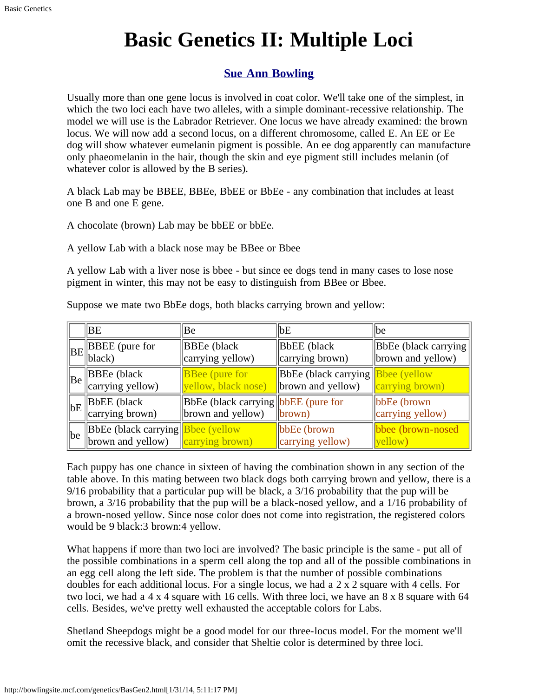# **Basic Genetics II: Multiple Loci**

### **[Sue Ann Bowling](http://www.sueannbowling.com/)**

<span id="page-5-0"></span>Usually more than one gene locus is involved in coat color. We'll take one of the simplest, in which the two loci each have two alleles, with a simple dominant-recessive relationship. The model we will use is the Labrador Retriever. One locus we have already examined: the brown locus. We will now add a second locus, on a different chromosome, called E. An EE or Ee dog will show whatever eumelanin pigment is possible. An ee dog apparently can manufacture only phaeomelanin in the hair, though the skin and eye pigment still includes melanin (of whatever color is allowed by the B series).

A black Lab may be BBEE, BBEe, BbEE or BbEe - any combination that includes at least one B and one E gene.

A chocolate (brown) Lab may be bbEE or bbEe.

A yellow Lab with a black nose may be BBee or Bbee

A yellow Lab with a liver nose is bbee - but since ee dogs tend in many cases to lose nose pigment in winter, this may not be easy to distinguish from BBee or Bbee.

|    | ΙBΕ                                                    | Be                                                              | bE                                                                     | be                                        |
|----|--------------------------------------------------------|-----------------------------------------------------------------|------------------------------------------------------------------------|-------------------------------------------|
|    | $\ BE\ $ BBEE (pure for<br>$\vert$ black)              | <b>BBEe</b> (black<br>carrying yellow)                          | <b>BbEE</b> (black<br>$\left\ $ carrying brown)                        | BbEe (black carrying<br>brown and yellow) |
| Be | $\parallel$ BBEe (black<br>carrying yellow)            | <b>BBee</b> (pure for<br>yellow, black nose)                    | $\vert$ BbEe (black carrying $\vert$ Bbee (yellow<br>brown and yellow) | carrying brown)                           |
| bE | <b>BbEE</b> (black<br>carrying brown)                  | <b>BbEe</b> (black carrying bbEE (pure for<br>brown and yellow) | $\ $ brown)                                                            | $lbbEe (brown)$<br>carrying yellow)       |
| be | BbEe (black carrying Bbee (yellow<br>brown and yellow) | carrying brown)                                                 | $lbbEe (brown)$<br>carrying yellow)                                    | bbee (brown-nosed<br>yellow)              |

Suppose we mate two BbEe dogs, both blacks carrying brown and yellow:

Each puppy has one chance in sixteen of having the combination shown in any section of the table above. In this mating between two black dogs both carrying brown and yellow, there is a 9/16 probability that a particular pup will be black, a 3/16 probability that the pup will be brown, a 3/16 probability that the pup will be a black-nosed yellow, and a 1/16 probability of a brown-nosed yellow. Since nose color does not come into registration, the registered colors would be 9 black:3 brown:4 yellow.

What happens if more than two loci are involved? The basic principle is the same - put all of the possible combinations in a sperm cell along the top and all of the possible combinations in an egg cell along the left side. The problem is that the number of possible combinations doubles for each additional locus. For a single locus, we had a 2 x 2 square with 4 cells. For two loci, we had a 4 x 4 square with 16 cells. With three loci, we have an 8 x 8 square with 64 cells. Besides, we've pretty well exhausted the acceptable colors for Labs.

Shetland Sheepdogs might be a good model for our three-locus model. For the moment we'll omit the recessive black, and consider that Sheltie color is determined by three loci.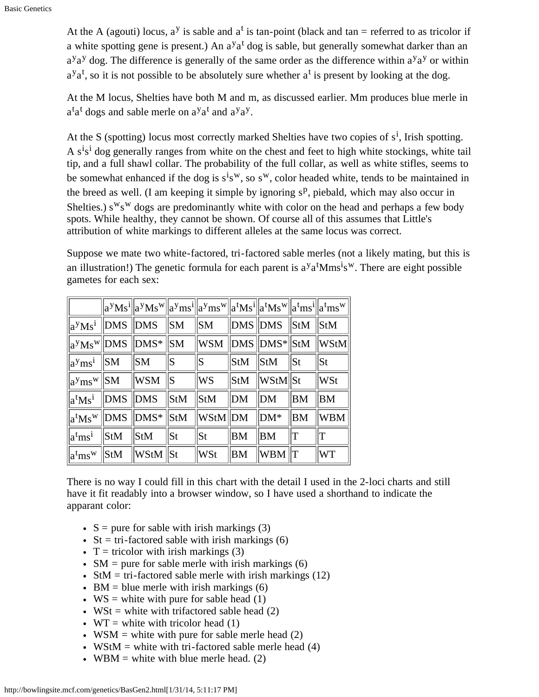At the A (agouti) locus,  $a^y$  is sable and  $a^t$  is tan-point (black and tan = referred to as tricolor if a white spotting gene is present.) An a<sup>y</sup>a<sup>t</sup> dog is sable, but generally somewhat darker than an  $a^{y}a^{y}$  dog. The difference is generally of the same order as the difference within  $a^{y}a^{y}$  or within  $a^{y}a^{t}$ , so it is not possible to be absolutely sure whether  $a^{t}$  is present by looking at the dog.

At the M locus, Shelties have both M and m, as discussed earlier. Mm produces blue merle in  $a^{\dagger}a^{\dagger}$  dogs and sable merle on  $a^{\dagger}a^{\dagger}$  and  $a^{\dagger}a^{\dagger}$ .

At the S (spotting) locus most correctly marked Shelties have two copies of  $s^i$ , Irish spotting. A s<sup>i</sup>s<sup>i</sup> dog generally ranges from white on the chest and feet to high white stockings, white tail tip, and a full shawl collar. The probability of the full collar, as well as white stifles, seems to be somewhat enhanced if the dog is  $s^i s^w$ , so  $s^w$ , color headed white, tends to be maintained in the breed as well. (I am keeping it simple by ignoring  $s<sup>p</sup>$ , piebald, which may also occur in Shelties.)  $s^{w}s^{w}$  dogs are predominantly white with color on the head and perhaps a few body spots. While healthy, they cannot be shown. Of course all of this assumes that Little's attribution of white markings to different alleles at the same locus was correct.

Suppose we mate two white-factored, tri-factored sable merles (not a likely mating, but this is an illustration!) The genetic formula for each parent is  $a<sup>y</sup>a<sup>t</sup>Mms<sup>i</sup>s<sup>w</sup>$ . There are eight possible gametes for each sex:

|                           |                | $  a^yMs^i  a^yMs^w  a^yms^i  a^yms^w  a^tMs^i  a^tMs^w  a^tms^i  a^tms^w  a^tms^w  a^tms^u  a^tms^u  a^tms^u  a^tms^u  a^tms^u  a^tms^u  a^tms^u  a^tms^u  a^tms^u  a^tms^u  a^tms^u  a^tms^u  a^tms^u  a^tms^u  a^tms^u  a^tms^u  a^tms^u  a^tms^u  a^tms^u  a^tms^u  a^tms^u  a^tms^u  a^$ |                 |                                                     |                 |                 |           |           |
|---------------------------|----------------|-----------------------------------------------------------------------------------------------------------------------------------------------------------------------------------------------------------------------------------------------------------------------------------------------|-----------------|-----------------------------------------------------|-----------------|-----------------|-----------|-----------|
|                           |                | $\ a^yMs^i\ $ DMS $\ DMS\ $ SM $\ SM\ $ DMS $\ DMS\ $ StM $\ StM\ $ StM                                                                                                                                                                                                                       |                 |                                                     |                 |                 |           |           |
|                           |                | $\ a^yMs^w\ DMS\ DMS^*\ SM\ WSM\ DMS\ DMS^*\ StM\ WStM\ $                                                                                                                                                                                                                                     |                 |                                                     |                 |                 |           |           |
| $ a^{y}ms^{i} $ SM        |                | $\parallel$ SM                                                                                                                                                                                                                                                                                | S               | S                                                   | $\mathbf{StM}$  | $\parallel$ StM | $\ $ St   | St        |
| $\ a^{y}ms^{w}\ SM\ $ WSM |                |                                                                                                                                                                                                                                                                                               | $\ S\ $         | <b>WS</b>                                           | $\parallel$ StM | $\ WStM\ St$    |           | WSt       |
| $a^tMs^i$   DMS   DMS     |                |                                                                                                                                                                                                                                                                                               | $\parallel$ StM | $\sqrt{\text{StM}}$                                 | $\parallel$ DM  | $\parallel$ DM  | <b>BM</b> | ΙBΜ       |
|                           |                | $\rm{ a^tMs^w\,  DMS\,\,  DMS^*\,  StM}$                                                                                                                                                                                                                                                      |                 | $\ {\rm W}{\rm StM}\ {\rm DM}\;\;$ $\ {\rm DM^*}\;$ |                 |                 | <b>BM</b> | WBM       |
| $a^{t}ms^{i}$             | <b>StM</b>     | $\vert S \tau M \vert$                                                                                                                                                                                                                                                                        | St              | St                                                  | <b>BM</b>       | BM              | lΤ        |           |
| $a^{t}ms^{w}$             | $\mathbf{StM}$ | $\ {\boldsymbol{W}}$ StM $\ $ St                                                                                                                                                                                                                                                              |                 | WSt                                                 | <b>BM</b>       | WBM             | lΤ        | <b>WT</b> |

There is no way I could fill in this chart with the detail I used in the 2-loci charts and still have it fit readably into a browser window, so I have used a shorthand to indicate the apparant color:

- $\bullet$  S = pure for sable with irish markings (3)
- St = tri-factored sable with irish markings  $(6)$
- T = tricolor with irish markings  $(3)$
- $SM = pure for stable mere with irish markings (6)$
- StM = tri-factored sable merle with irish markings  $(12)$
- $\bullet$  BM = blue merle with irish markings (6)
- $WS = white$  with pure for sable head (1)
- WSt = white with trifactored sable head  $(2)$
- WT = white with tricolor head  $(1)$
- WSM = white with pure for sable merle head  $(2)$
- WStM = white with tri-factored sable merle head  $(4)$
- WBM = white with blue merle head.  $(2)$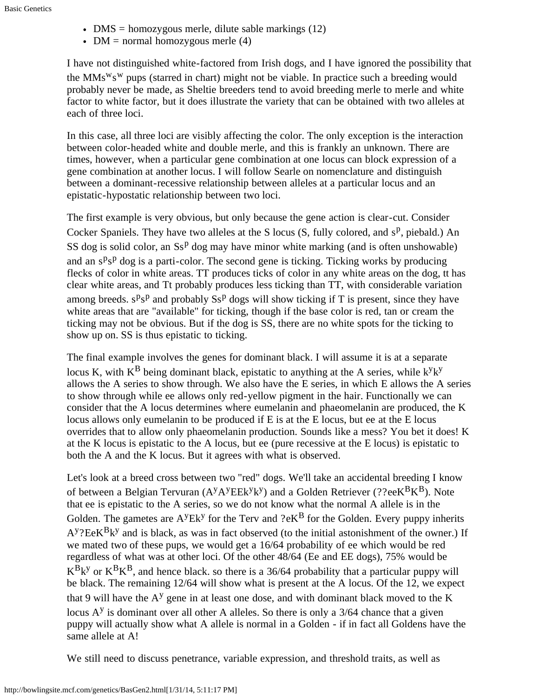- $\bullet$  DMS = homozygous merle, dilute sable markings (12)
- DM = normal homozygous merle  $(4)$

I have not distinguished white-factored from Irish dogs, and I have ignored the possibility that the  $MMS<sup>w</sup>S<sup>w</sup>$  pups (starred in chart) might not be viable. In practice such a breeding would probably never be made, as Sheltie breeders tend to avoid breeding merle to merle and white factor to white factor, but it does illustrate the variety that can be obtained with two alleles at each of three loci.

In this case, all three loci are visibly affecting the color. The only exception is the interaction between color-headed white and double merle, and this is frankly an unknown. There are times, however, when a particular gene combination at one locus can block expression of a gene combination at another locus. I will follow Searle on nomenclature and distinguish between a dominant-recessive relationship between alleles at a particular locus and an epistatic-hypostatic relationship between two loci.

The first example is very obvious, but only because the gene action is clear-cut. Consider Cocker Spaniels. They have two alleles at the S locus  $(S, \text{fully colored}, \text{and } s^p, \text{piebald})$  An SS dog is solid color, an  $\text{S}^p$  dog may have minor white marking (and is often unshowable) and an  $s^p s^p$  dog is a parti-color. The second gene is ticking. Ticking works by producing flecks of color in white areas. TT produces ticks of color in any white areas on the dog, tt has clear white areas, and Tt probably produces less ticking than TT, with considerable variation among breeds.  $s^p s^p$  and probably  $S s^p$  dogs will show ticking if T is present, since they have white areas that are "available" for ticking, though if the base color is red, tan or cream the ticking may not be obvious. But if the dog is SS, there are no white spots for the ticking to show up on. SS is thus epistatic to ticking.

The final example involves the genes for dominant black. I will assume it is at a separate locus K, with  $K^B$  being dominant black, epistatic to anything at the A series, while  $k^y k^y$ allows the A series to show through. We also have the E series, in which E allows the A series to show through while ee allows only red-yellow pigment in the hair. Functionally we can consider that the A locus determines where eumelanin and phaeomelanin are produced, the K locus allows only eumelanin to be produced if E is at the E locus, but ee at the E locus overrides that to allow only phaeomelanin production. Sounds like a mess? You bet it does! K at the K locus is epistatic to the A locus, but ee (pure recessive at the E locus) is epistatic to both the A and the K locus. But it agrees with what is observed.

Let's look at a breed cross between two "red" dogs. We'll take an accidental breeding I know of between a Belgian Tervuran  $(A<sup>y</sup>A<sup>y</sup>E E<sup>y</sup>k<sup>y</sup>)$  and a Golden Retriever (??ee $K<sup>B</sup>K<sup>B</sup>$ ). Note that ee is epistatic to the A series, so we do not know what the normal A allele is in the Golden. The gametes are  $A<sup>y</sup>Ek<sup>y</sup>$  for the Terv and ?e $K<sup>B</sup>$  for the Golden. Every puppy inherits  $A<sup>y</sup>$ ?EeK $<sup>B</sup>k<sup>y</sup>$  and is black, as was in fact observed (to the initial astonishment of the owner.) If</sup> we mated two of these pups, we would get a 16/64 probability of ee which would be red regardless of what was at other loci. Of the other 48/64 (Ee and EE dogs), 75% would be  $K^{B}k^{y}$  or  $K^{B}K^{B}$ , and hence black. so there is a 36/64 probability that a particular puppy will be black. The remaining 12/64 will show what is present at the A locus. Of the 12, we expect that 9 will have the  $A<sup>y</sup>$  gene in at least one dose, and with dominant black moved to the K locus  $A<sup>y</sup>$  is dominant over all other A alleles. So there is only a 3/64 chance that a given puppy will actually show what A allele is normal in a Golden - if in fact all Goldens have the same allele at A!

We still need to discuss penetrance, variable expression, and threshold traits, as well as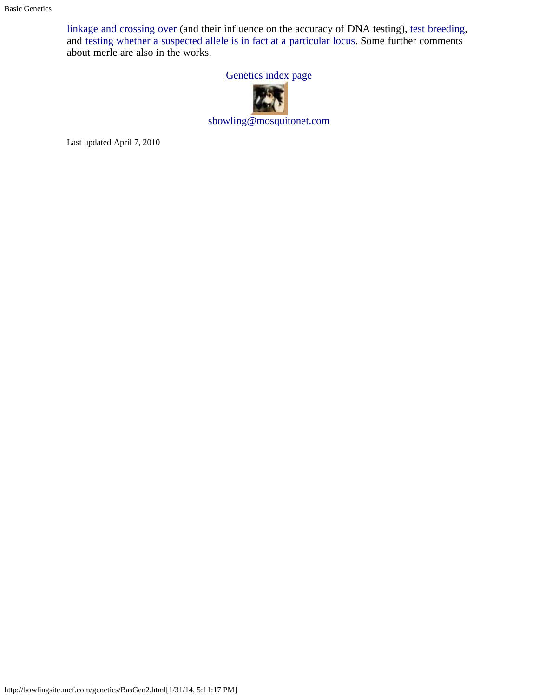[linkage and crossing over](#page-9-0) (and their influence on the accuracy of DNA testing), [test breeding](http://bowlingsite.mcf.com/genetics/Test1.html), and [testing whether a suspected allele is in fact at a particular locus.](http://bowlingsite.mcf.com/genetics/Test2.html) Some further comments about merle are also in the works.

[Genetics index page](http://bowlingsite.mcf.com/genetics/Genetics.html)



[sbowling@mosquitonet.com](mailto:sbowling@mosquitonet.com)

Last updated April 7, 2010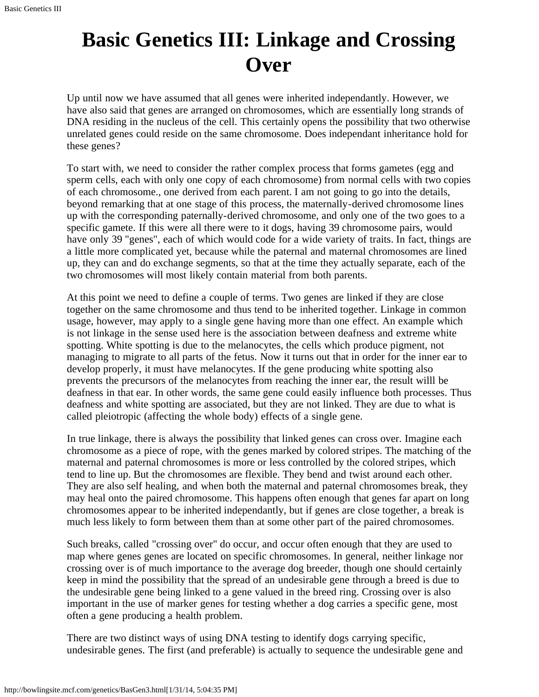# <span id="page-9-0"></span>**Basic Genetics III: Linkage and Crossing Over**

Up until now we have assumed that all genes were inherited independantly. However, we have also said that genes are arranged on chromosomes, which are essentially long strands of DNA residing in the nucleus of the cell. This certainly opens the possibility that two otherwise unrelated genes could reside on the same chromosome. Does independant inheritance hold for these genes?

To start with, we need to consider the rather complex process that forms gametes (egg and sperm cells, each with only one copy of each chromosome) from normal cells with two copies of each chromosome., one derived from each parent. I am not going to go into the details, beyond remarking that at one stage of this process, the maternally-derived chromosome lines up with the corresponding paternally-derived chromosome, and only one of the two goes to a specific gamete. If this were all there were to it dogs, having 39 chromosome pairs, would have only 39 "genes", each of which would code for a wide variety of traits. In fact, things are a little more complicated yet, because while the paternal and maternal chromosomes are lined up, they can and do exchange segments, so that at the time they actually separate, each of the two chromosomes will most likely contain material from both parents.

At this point we need to define a couple of terms. Two genes are linked if they are close together on the same chromosome and thus tend to be inherited together. Linkage in common usage, however, may apply to a single gene having more than one effect. An example which is not linkage in the sense used here is the association between deafness and extreme white spotting. White spotting is due to the melanocytes, the cells which produce pigment, not managing to migrate to all parts of the fetus. Now it turns out that in order for the inner ear to develop properly, it must have melanocytes. If the gene producing white spotting also prevents the precursors of the melanocytes from reaching the inner ear, the result willl be deafness in that ear. In other words, the same gene could easily influence both processes. Thus deafness and white spotting are associated, but they are not linked. They are due to what is called pleiotropic (affecting the whole body) effects of a single gene.

In true linkage, there is always the possibility that linked genes can cross over. Imagine each chromosome as a piece of rope, with the genes marked by colored stripes. The matching of the maternal and paternal chromosomes is more or less controlled by the colored stripes, which tend to line up. But the chromosomes are flexible. They bend and twist around each other. They are also self healing, and when both the maternal and paternal chromosomes break, they may heal onto the paired chromosome. This happens often enough that genes far apart on long chromosomes appear to be inherited independantly, but if genes are close together, a break is much less likely to form between them than at some other part of the paired chromosomes.

Such breaks, called "crossing over" do occur, and occur often enough that they are used to map where genes genes are located on specific chromosomes. In general, neither linkage nor crossing over is of much importance to the average dog breeder, though one should certainly keep in mind the possibility that the spread of an undesirable gene through a breed is due to the undesirable gene being linked to a gene valued in the breed ring. Crossing over is also important in the use of marker genes for testing whether a dog carries a specific gene, most often a gene producing a health problem.

There are two distinct ways of using DNA testing to identify dogs carrying specific, undesirable genes. The first (and preferable) is actually to sequence the undesirable gene and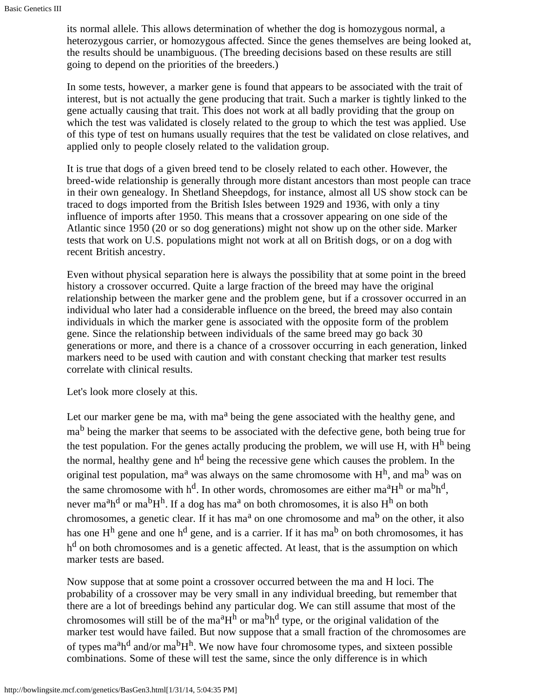its normal allele. This allows determination of whether the dog is homozygous normal, a heterozygous carrier, or homozygous affected. Since the genes themselves are being looked at, the results should be unambiguous. (The breeding decisions based on these results are still going to depend on the priorities of the breeders.)

In some tests, however, a marker gene is found that appears to be associated with the trait of interest, but is not actually the gene producing that trait. Such a marker is tightly linked to the gene actually causing that trait. This does not work at all badly providing that the group on which the test was validated is closely related to the group to which the test was applied. Use of this type of test on humans usually requires that the test be validated on close relatives, and applied only to people closely related to the validation group.

It is true that dogs of a given breed tend to be closely related to each other. However, the breed-wide relationship is generally through more distant ancestors than most people can trace in their own genealogy. In Shetland Sheepdogs, for instance, almost all US show stock can be traced to dogs imported from the British Isles between 1929 and 1936, with only a tiny influence of imports after 1950. This means that a crossover appearing on one side of the Atlantic since 1950 (20 or so dog generations) might not show up on the other side. Marker tests that work on U.S. populations might not work at all on British dogs, or on a dog with recent British ancestry.

Even without physical separation here is always the possibility that at some point in the breed history a crossover occurred. Quite a large fraction of the breed may have the original relationship between the marker gene and the problem gene, but if a crossover occurred in an individual who later had a considerable influence on the breed, the breed may also contain individuals in which the marker gene is associated with the opposite form of the problem gene. Since the relationship between individuals of the same breed may go back 30 generations or more, and there is a chance of a crossover occurring in each generation, linked markers need to be used with caution and with constant checking that marker test results correlate with clinical results.

Let's look more closely at this.

Let our marker gene be ma, with ma<sup>a</sup> being the gene associated with the healthy gene, and ma<sup>b</sup> being the marker that seems to be associated with the defective gene, both being true for the test population. For the genes actally producing the problem, we will use H, with  $H<sup>h</sup>$  being the normal, healthy gene and  $h^d$  being the recessive gene which causes the problem. In the original test population, ma<sup>a</sup> was always on the same chromosome with  $H<sup>h</sup>$ , and ma<sup>b</sup> was on the same chromosome with  $h^d$ . In other words, chromosomes are either ma<sup>a</sup>H<sup>h</sup> or ma<sup>b</sup>h<sup>d</sup>, never ma<sup>a</sup>h<sup>d</sup> or ma<sup>b</sup>H<sup>h</sup>. If a dog has ma<sup>a</sup> on both chromosomes, it is also H<sup>h</sup> on both chromosomes, a genetic clear. If it has ma<sup>a</sup> on one chromosome and ma<sup>b</sup> on the other, it also has one  $H<sup>h</sup>$  gene and one  $h<sup>d</sup>$  gene, and is a carrier. If it has ma<sup>b</sup> on both chromosomes, it has h<sup>d</sup> on both chromosomes and is a genetic affected. At least, that is the assumption on which marker tests are based.

Now suppose that at some point a crossover occurred between the ma and H loci. The probability of a crossover may be very small in any individual breeding, but remember that there are a lot of breedings behind any particular dog. We can still assume that most of the chromosomes will still be of the ma<sup>a</sup>H<sup>h</sup> or ma<sup>b</sup>h<sup>d</sup> type, or the original validation of the marker test would have failed. But now suppose that a small fraction of the chromosomes are of types ma<sup>a</sup>h<sup>d</sup> and/or ma<sup>b</sup>H<sup>h</sup>. We now have four chromosome types, and sixteen possible combinations. Some of these will test the same, since the only difference is in which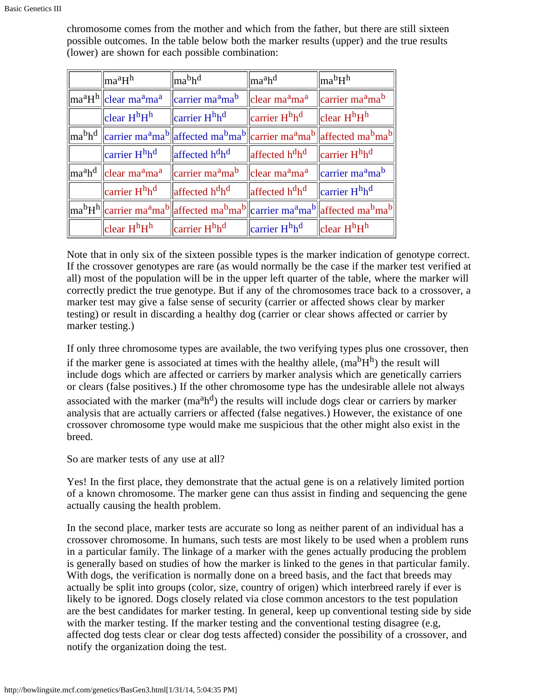chromosome comes from the mother and which from the father, but there are still sixteen possible outcomes. In the table below both the marker results (upper) and the true results (lower) are shown for each possible combination:

| ma <sup>a</sup> H <sup>h</sup>                                                      | $\parallel$ ma <sup>b</sup> h <sup>d</sup>                                                                                                                                                                                                                                              | ma <sup>a</sup> h <sup>d</sup>                                                          | $\ln a^b H^h$                                       |
|-------------------------------------------------------------------------------------|-----------------------------------------------------------------------------------------------------------------------------------------------------------------------------------------------------------------------------------------------------------------------------------------|-----------------------------------------------------------------------------------------|-----------------------------------------------------|
| $\ \text{ma}^{\text{a}}\text{H}^{\text{h}}\ $ clear ma <sup>a</sup> ma <sup>a</sup> | $\sqrt{\frac{1}{2}}$ carrier ma <sup>a</sup> ma <sup>b</sup>                                                                                                                                                                                                                            | $\left\  \right\ $ clear ma <sup>a</sup> ma <sup>a</sup>                                | $\parallel$ carrier ma <sup>a</sup> ma <sup>b</sup> |
| clear $H^hH^h$                                                                      | $\parallel$ carrier H <sup>h</sup> h <sup>d</sup>                                                                                                                                                                                                                                       | $\parallel$ carrier $Hhhd$                                                              | $\parallel$ clear H <sup>h</sup> H <sup>h</sup>     |
|                                                                                     | $\ \text{ma}^{\text{b}}\text{h}^{\text{d}}\ \text{carrier} \text{ ma}^{\text{a}}\text{ma}^{\text{b}}\ \text{affected} \text{ ma}^{\text{b}}\text{ma}^{\text{b}}\ \text{carrier} \text{ ma}^{\text{a}}\text{ma}^{\text{b}}\ \text{affected} \text{ ma}^{\text{b}}\text{ma}^{\text{b}}\ $ |                                                                                         |                                                     |
| carrier H <sup>h</sup> h <sup>d</sup>                                               | $\ $ affected h <sup>d</sup> h <sup>d</sup>                                                                                                                                                                                                                                             | $\ $ affected h <sup>d</sup> h <sup>d</sup> $\ $ carrier H <sup>h</sup> h <sup>d</sup>  |                                                     |
|                                                                                     | $\parallel$ ma <sup>a</sup> h <sup>d</sup> $\parallel$ clear ma <sup>a</sup> ma <sup>a</sup> $\parallel$ carrier ma <sup>a</sup> ma <sup>b</sup>                                                                                                                                        | $\ $ clear ma <sup>a</sup> ma <sup>a</sup> $\ $ carrier ma <sup>a</sup> ma <sup>b</sup> |                                                     |
| carrier H <sup>h</sup> h <sup>d</sup>                                               | $\ $ affected h <sup>d</sup> h <sup>d</sup>                                                                                                                                                                                                                                             | affected h <sup>d</sup> h <sup>d</sup>                                                  | $\parallel$ carrier H <sup>h</sup> h <sup>d</sup>   |
|                                                                                     | $\ \text{ma}^{\text{b}}\text{H}^{\text{h}}\ $ carrier ma <sup>a</sup> ma <sup>b</sup> $\ $ affected ma <sup>b</sup> ma <sup>b</sup> $\ $ carrier ma <sup>a</sup> ma <sup>b</sup> $\ $ affected ma <sup>b</sup> ma <sup>b</sup>                                                          |                                                                                         |                                                     |
| clear H <sup>h</sup> H <sup>h</sup>                                                 | $\parallel$ carrier H <sup>h</sup> h <sup>d</sup>                                                                                                                                                                                                                                       | carrier H <sup>h</sup> h <sup>d</sup>                                                   | $\parallel$ clear $HhHh$                            |

Note that in only six of the sixteen possible types is the marker indication of genotype correct. If the crossover genotypes are rare (as would normally be the case if the marker test verified at all) most of the population will be in the upper left quarter of the table, where the marker will correctly predict the true genotype. But if any of the chromosomes trace back to a crossover, a marker test may give a false sense of security (carrier or affected shows clear by marker testing) or result in discarding a healthy dog (carrier or clear shows affected or carrier by marker testing.)

If only three chromosome types are available, the two verifying types plus one crossover, then if the marker gene is associated at times with the healthy allele,  $(ma^bH^h)$  the result will include dogs which are affected or carriers by marker analysis which are genetically carriers or clears (false positives.) If the other chromosome type has the undesirable allele not always associated with the marker  $(ma^a h^d)$  the results will include dogs clear or carriers by marker analysis that are actually carriers or affected (false negatives.) However, the existance of one crossover chromosome type would make me suspicious that the other might also exist in the breed.

So are marker tests of any use at all?

Yes! In the first place, they demonstrate that the actual gene is on a relatively limited portion of a known chromosome. The marker gene can thus assist in finding and sequencing the gene actually causing the health problem.

In the second place, marker tests are accurate so long as neither parent of an individual has a crossover chromosome. In humans, such tests are most likely to be used when a problem runs in a particular family. The linkage of a marker with the genes actually producing the problem is generally based on studies of how the marker is linked to the genes in that particular family. With dogs, the verification is normally done on a breed basis, and the fact that breeds may actually be split into groups (color, size, country of origen) which interbreed rarely if ever is likely to be ignored. Dogs closely related via close common ancestors to the test population are the best candidates for marker testing. In general, keep up conventional testing side by side with the marker testing. If the marker testing and the conventional testing disagree (e.g, affected dog tests clear or clear dog tests affected) consider the possibility of a crossover, and notify the organization doing the test.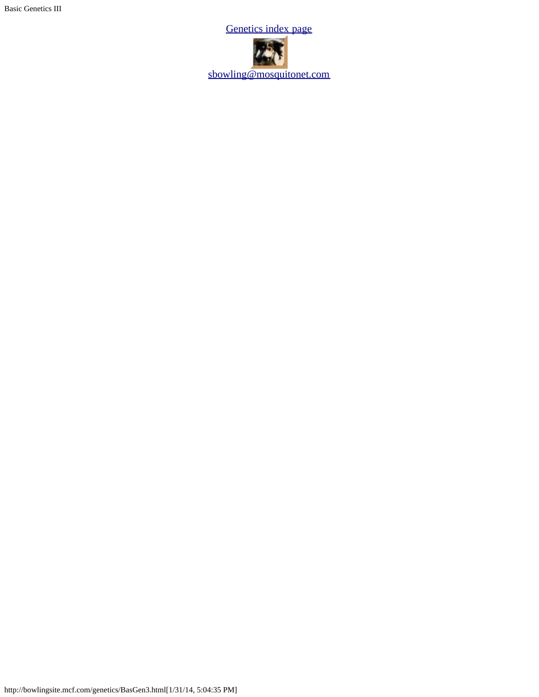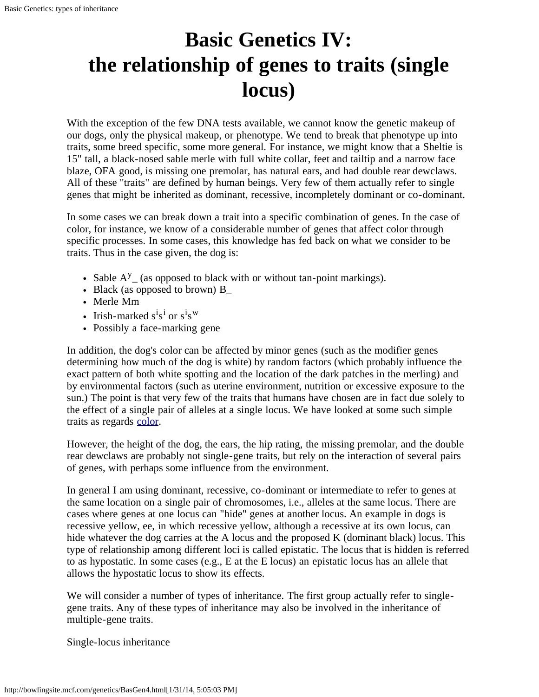# <span id="page-13-1"></span><span id="page-13-0"></span>**Basic Genetics IV: the relationship of genes to traits (single locus)**

With the exception of the few DNA tests available, we cannot know the genetic makeup of our dogs, only the physical makeup, or phenotype. We tend to break that phenotype up into traits, some breed specific, some more general. For instance, we might know that a Sheltie is 15" tall, a black-nosed sable merle with full white collar, feet and tailtip and a narrow face blaze, OFA good, is missing one premolar, has natural ears, and had double rear dewclaws. All of these "traits" are defined by human beings. Very few of them actually refer to single genes that might be inherited as dominant, recessive, incompletely dominant or co-dominant.

In some cases we can break down a trait into a specific combination of genes. In the case of color, for instance, we know of a considerable number of genes that affect color through specific processes. In some cases, this knowledge has fed back on what we consider to be traits. Thus in the case given, the dog is:

- Sable  $A^y$  (as opposed to black with or without tan-point markings).
- Black (as opposed to brown) B\_
- Merle Mm
- Irish-marked  $s^i s^i$  or  $s^i s^w$
- Possibly a face-marking gene

In addition, the dog's color can be affected by minor genes (such as the modifier genes determining how much of the dog is white) by random factors (which probably influence the exact pattern of both white spotting and the location of the dark patches in the merling) and by environmental factors (such as uterine environment, nutrition or excessive exposure to the sun.) The point is that very few of the traits that humans have chosen are in fact due solely to the effect of a single pair of alleles at a single locus. We have looked at some such simple traits as regards [color.](http://bowlingsite.mcf.com/genetics/ColorGen.html)

However, the height of the dog, the ears, the hip rating, the missing premolar, and the double rear dewclaws are probably not single-gene traits, but rely on the interaction of several pairs of genes, with perhaps some influence from the environment.

In general I am using dominant, recessive, co-dominant or intermediate to refer to genes at the same location on a single pair of chromosomes, i.e., alleles at the same locus. There are cases where genes at one locus can "hide" genes at another locus. An example in dogs is recessive yellow, ee, in which recessive yellow, although a recessive at its own locus, can hide whatever the dog carries at the A locus and the proposed K (dominant black) locus. This type of relationship among different loci is called epistatic. The locus that is hidden is referred to as hypostatic. In some cases (e.g., E at the E locus) an epistatic locus has an allele that allows the hypostatic locus to show its effects.

We will consider a number of types of inheritance. The first group actually refer to singlegene traits. Any of these types of inheritance may also be involved in the inheritance of multiple-gene traits.

Single-locus inheritance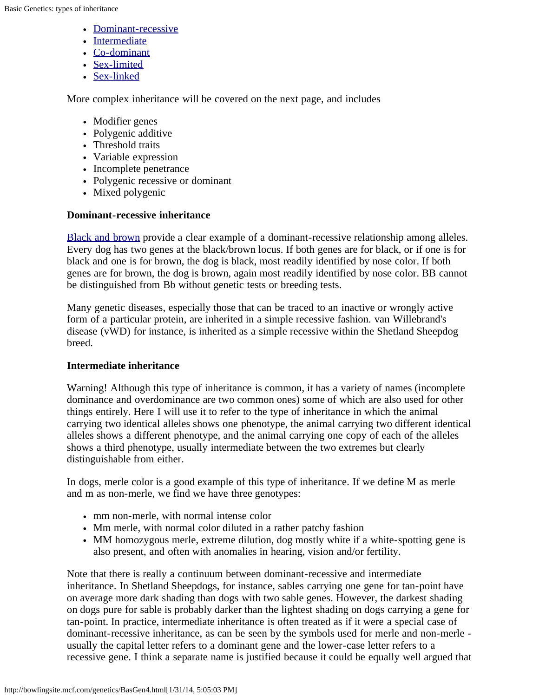- [Dominant-recessive](#page-14-0)
- [Intermediate](#page-14-1)
- [Co-dominant](#page-15-0)
- [Sex-limited](#page-13-0)
- [Sex-linked](#page-15-1)

More complex inheritance will be covered on the next page, and includes

- Modifier genes
- Polygenic additive
- Threshold traits
- Variable expression
- Incomplete penetrance
- Polygenic recessive or dominant
- Mixed polygenic

#### <span id="page-14-0"></span>**Dominant-recessive inheritance**

[Black and brown](#page-0-0) provide a clear example of a dominant-recessive relationship among alleles. Every dog has two genes at the black/brown locus. If both genes are for black, or if one is for black and one is for brown, the dog is black, most readily identified by nose color. If both genes are for brown, the dog is brown, again most readily identified by nose color. BB cannot be distinguished from Bb without genetic tests or breeding tests.

Many genetic diseases, especially those that can be traced to an inactive or wrongly active form of a particular protein, are inherited in a simple recessive fashion. van Willebrand's disease (vWD) for instance, is inherited as a simple recessive within the Shetland Sheepdog breed.

#### <span id="page-14-1"></span>**Intermediate inheritance**

Warning! Although this type of inheritance is common, it has a variety of names (incomplete dominance and overdominance are two common ones) some of which are also used for other things entirely. Here I will use it to refer to the type of inheritance in which the animal carrying two identical alleles shows one phenotype, the animal carrying two different identical alleles shows a different phenotype, and the animal carrying one copy of each of the alleles shows a third phenotype, usually intermediate between the two extremes but clearly distinguishable from either.

In dogs, merle color is a good example of this type of inheritance. If we define M as merle and m as non-merle, we find we have three genotypes:

- mm non-merle, with normal intense color
- Mm merle, with normal color diluted in a rather patchy fashion
- MM homozygous merle, extreme dilution, dog mostly white if a white-spotting gene is also present, and often with anomalies in hearing, vision and/or fertility.

Note that there is really a continuum between dominant-recessive and intermediate inheritance. In Shetland Sheepdogs, for instance, sables carrying one gene for tan-point have on average more dark shading than dogs with two sable genes. However, the darkest shading on dogs pure for sable is probably darker than the lightest shading on dogs carrying a gene for tan-point. In practice, intermediate inheritance is often treated as if it were a special case of dominant-recessive inheritance, as can be seen by the symbols used for merle and non-merle usually the capital letter refers to a dominant gene and the lower-case letter refers to a recessive gene. I think a separate name is justified because it could be equally well argued that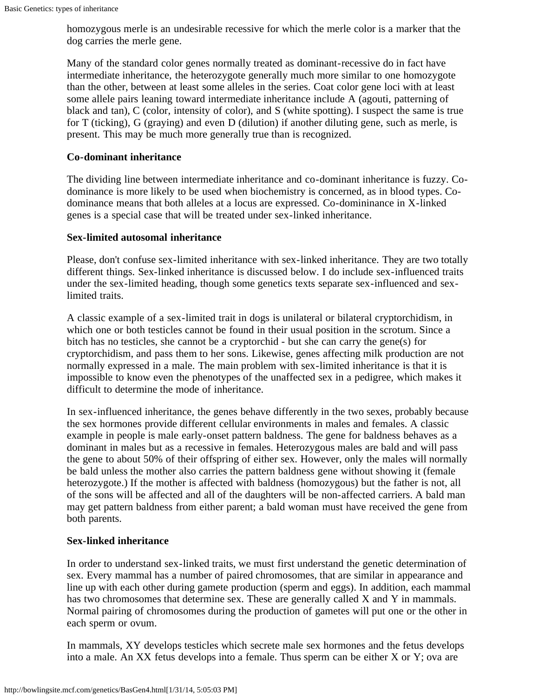homozygous merle is an undesirable recessive for which the merle color is a marker that the dog carries the merle gene.

Many of the standard color genes normally treated as dominant-recessive do in fact have intermediate inheritance, the heterozygote generally much more similar to one homozygote than the other, between at least some alleles in the series. Coat color gene loci with at least some allele pairs leaning toward intermediate inheritance include A (agouti, patterning of black and tan), C (color, intensity of color), and S (white spotting). I suspect the same is true for T (ticking), G (graying) and even D (dilution) if another diluting gene, such as merle, is present. This may be much more generally true than is recognized.

#### <span id="page-15-0"></span>**Co-dominant inheritance**

The dividing line between intermediate inheritance and co-dominant inheritance is fuzzy. Codominance is more likely to be used when biochemistry is concerned, as in blood types. Codominance means that both alleles at a locus are expressed. Co-domininance in X-linked genes is a special case that will be treated under sex-linked inheritance.

#### **Sex-limited autosomal inheritance**

Please, don't confuse sex-limited inheritance with sex-linked inheritance. They are two totally different things. Sex-linked inheritance is discussed below. I do include sex-influenced traits under the sex-limited heading, though some genetics texts separate sex-influenced and sexlimited traits.

A classic example of a sex-limited trait in dogs is unilateral or bilateral cryptorchidism, in which one or both testicles cannot be found in their usual position in the scrotum. Since a bitch has no testicles, she cannot be a cryptorchid - but she can carry the gene(s) for cryptorchidism, and pass them to her sons. Likewise, genes affecting milk production are not normally expressed in a male. The main problem with sex-limited inheritance is that it is impossible to know even the phenotypes of the unaffected sex in a pedigree, which makes it difficult to determine the mode of inheritance.

In sex-influenced inheritance, the genes behave differently in the two sexes, probably because the sex hormones provide different cellular environments in males and females. A classic example in people is male early-onset pattern baldness. The gene for baldness behaves as a dominant in males but as a recessive in females. Heterozygous males are bald and will pass the gene to about 50% of their offspring of either sex. However, only the males will normally be bald unless the mother also carries the pattern baldness gene without showing it (female heterozygote.) If the mother is affected with baldness (homozygous) but the father is not, all of the sons will be affected and all of the daughters will be non-affected carriers. A bald man may get pattern baldness from either parent; a bald woman must have received the gene from both parents.

#### <span id="page-15-1"></span>**Sex-linked inheritance**

In order to understand sex-linked traits, we must first understand the genetic determination of sex. Every mammal has a number of paired chromosomes, that are similar in appearance and line up with each other during gamete production (sperm and eggs). In addition, each mammal has two chromosomes that determine sex. These are generally called X and Y in mammals. Normal pairing of chromosomes during the production of gametes will put one or the other in each sperm or ovum.

In mammals, XY develops testicles which secrete male sex hormones and the fetus develops into a male. An XX fetus develops into a female. Thus sperm can be either X or Y; ova are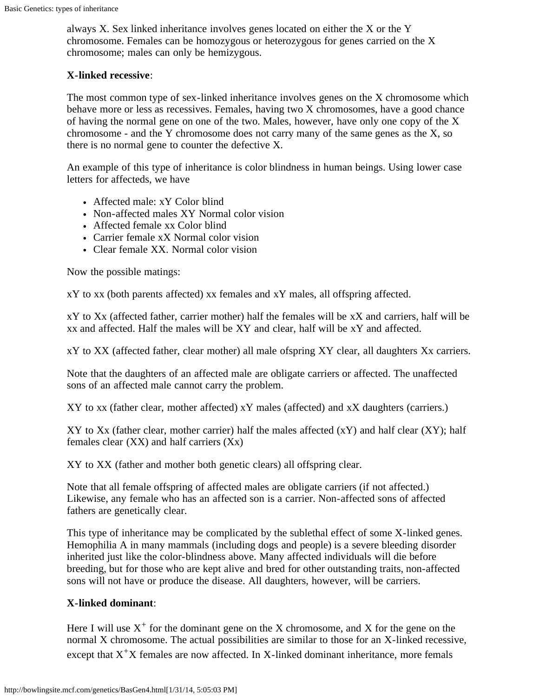always X. Sex linked inheritance involves genes located on either the X or the Y chromosome. Females can be homozygous or heterozygous for genes carried on the X chromosome; males can only be hemizygous.

#### **X-linked recessive**:

The most common type of sex-linked inheritance involves genes on the X chromosome which behave more or less as recessives. Females, having two X chromosomes, have a good chance of having the normal gene on one of the two. Males, however, have only one copy of the X chromosome - and the Y chromosome does not carry many of the same genes as the X, so there is no normal gene to counter the defective X.

An example of this type of inheritance is color blindness in human beings. Using lower case letters for affecteds, we have

- Affected male: xY Color blind
- Non-affected males XY Normal color vision
- Affected female xx Color blind
- Carrier female xX Normal color vision
- Clear female XX. Normal color vision

Now the possible matings:

xY to xx (both parents affected) xx females and xY males, all offspring affected.

xY to Xx (affected father, carrier mother) half the females will be xX and carriers, half will be xx and affected. Half the males will be XY and clear, half will be xY and affected.

xY to XX (affected father, clear mother) all male ofspring XY clear, all daughters Xx carriers.

Note that the daughters of an affected male are obligate carriers or affected. The unaffected sons of an affected male cannot carry the problem.

XY to xx (father clear, mother affected) xY males (affected) and xX daughters (carriers.)

XY to Xx (father clear, mother carrier) half the males affected (xY) and half clear (XY); half females clear (XX) and half carriers (Xx)

XY to XX (father and mother both genetic clears) all offspring clear.

Note that all female offspring of affected males are obligate carriers (if not affected.) Likewise, any female who has an affected son is a carrier. Non-affected sons of affected fathers are genetically clear.

This type of inheritance may be complicated by the sublethal effect of some X-linked genes. Hemophilia A in many mammals (including dogs and people) is a severe bleeding disorder inherited just like the color-blindness above. Many affected individuals will die before breeding, but for those who are kept alive and bred for other outstanding traits, non-affected sons will not have or produce the disease. All daughters, however, will be carriers.

#### **X-linked dominant**:

Here I will use  $X^+$  for the dominant gene on the X chromosome, and X for the gene on the normal X chromosome. The actual possibilities are similar to those for an X-linked recessive, except that  $X^+X$  females are now affected. In X-linked dominant inheritance, more femals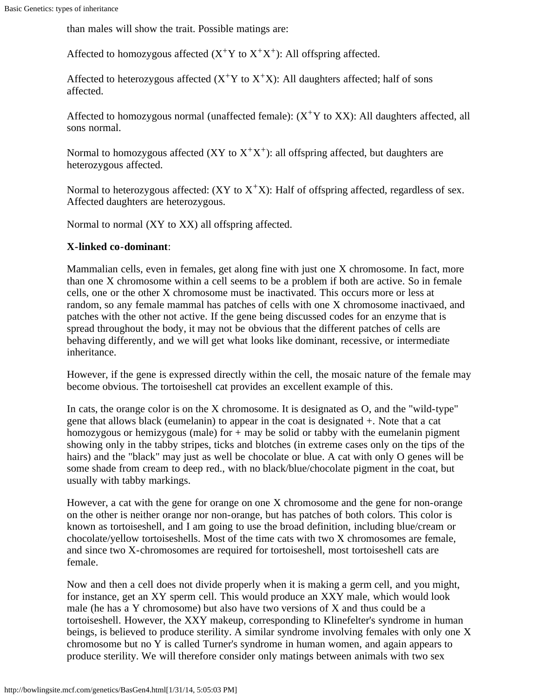than males will show the trait. Possible matings are:

Affected to homozygous affected  $(X^+Y)$  to  $X^+X^+$ : All offspring affected.

Affected to heterozygous affected  $(X^+Y)$  to  $(X^+X)$ : All daughters affected; half of sons affected.

Affected to homozygous normal (unaffected female):  $(X^+Y)$  to  $XX$ ): All daughters affected, all sons normal.

Normal to homozygous affected  $(XY \text{ to } X^+X^+)$ : all offspring affected, but daughters are heterozygous affected.

Normal to heterozygous affected:  $(XY \text{ to } X^+X)$ : Half of offspring affected, regardless of sex. Affected daughters are heterozygous.

Normal to normal (XY to XX) all offspring affected.

#### **X-linked co-dominant**:

Mammalian cells, even in females, get along fine with just one X chromosome. In fact, more than one X chromosome within a cell seems to be a problem if both are active. So in female cells, one or the other X chromosome must be inactivated. This occurs more or less at random, so any female mammal has patches of cells with one X chromosome inactivaed, and patches with the other not active. If the gene being discussed codes for an enzyme that is spread throughout the body, it may not be obvious that the different patches of cells are behaving differently, and we will get what looks like dominant, recessive, or intermediate inheritance.

However, if the gene is expressed directly within the cell, the mosaic nature of the female may become obvious. The tortoiseshell cat provides an excellent example of this.

In cats, the orange color is on the X chromosome. It is designated as O, and the "wild-type" gene that allows black (eumelanin) to appear in the coat is designated +. Note that a cat homozygous or hemizygous (male) for  $+$  may be solid or tabby with the eumelanin pigment showing only in the tabby stripes, ticks and blotches (in extreme cases only on the tips of the hairs) and the "black" may just as well be chocolate or blue. A cat with only O genes will be some shade from cream to deep red., with no black/blue/chocolate pigment in the coat, but usually with tabby markings.

However, a cat with the gene for orange on one X chromosome and the gene for non-orange on the other is neither orange nor non-orange, but has patches of both colors. This color is known as tortoiseshell, and I am going to use the broad definition, including blue/cream or chocolate/yellow tortoiseshells. Most of the time cats with two X chromosomes are female, and since two X-chromosomes are required for tortoiseshell, most tortoiseshell cats are female.

Now and then a cell does not divide properly when it is making a germ cell, and you might, for instance, get an XY sperm cell. This would produce an XXY male, which would look male (he has a Y chromosome) but also have two versions of X and thus could be a tortoiseshell. However, the XXY makeup, corresponding to Klinefelter's syndrome in human beings, is believed to produce sterility. A similar syndrome involving females with only one X chromosome but no Y is called Turner's syndrome in human women, and again appears to produce sterility. We will therefore consider only matings between animals with two sex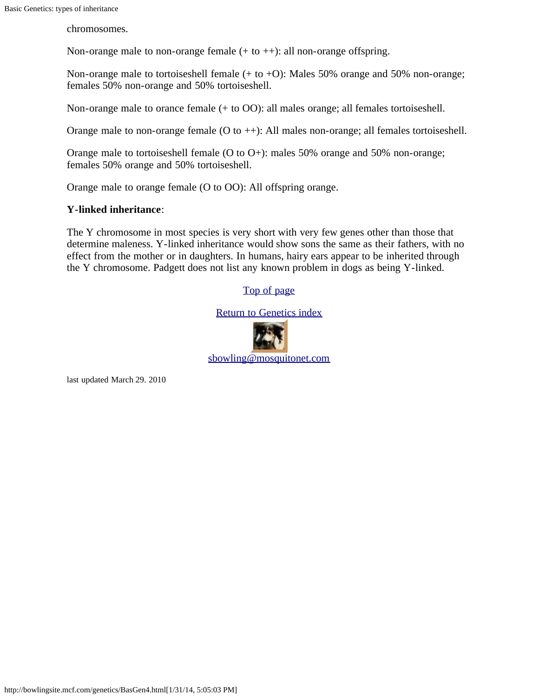chromosomes.

Non-orange male to non-orange female (+ to ++): all non-orange offspring.

Non-orange male to tortoiseshell female  $(+ to +O)$ : Males 50% orange and 50% non-orange; females 50% non-orange and 50% tortoiseshell.

Non-orange male to orance female (+ to OO): all males orange; all females tortoiseshell.

Orange male to non-orange female (O to ++): All males non-orange; all females tortoiseshell.

Orange male to tortoiseshell female (O to O+): males 50% orange and 50% non-orange; females 50% orange and 50% tortoiseshell.

Orange male to orange female (O to OO): All offspring orange.

#### **Y-linked inheritance**:

The Y chromosome in most species is very short with very few genes other than those that determine maleness. Y-linked inheritance would show sons the same as their fathers, with no effect from the mother or in daughters. In humans, hairy ears appear to be inherited through the Y chromosome. Padgett does not list any known problem in dogs as being Y-linked.

#### [Top of page](#page-13-1)

#### [Return to Genetics index](http://bowlingsite.mcf.com/genetics/Genetics.html)



last updated March 29. 2010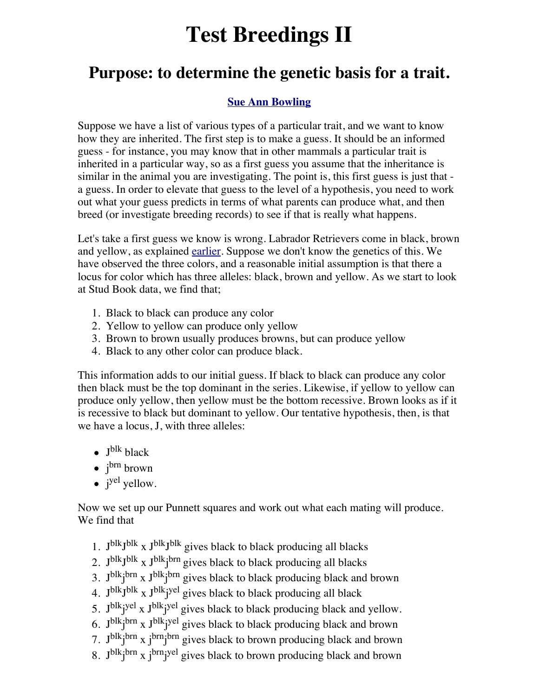# **Test Breedings II**

### **Purpose: to determine the genetic basis for a trait.**

### **[Sue Ann Bowling](http://www.sueannbowling.com/)**

Suppose we have a list of various types of a particular trait, and we want to know how they are inherited. The first step is to make a guess. It should be an informed guess - for instance, you may know that in other mammals a particular trait is inherited in a particular way, so as a first guess you assume that the inheritance is similar in the animal you are investigating. The point is, this first guess is just that a guess. In order to elevate that guess to the level of a hypothesis, you need to work out what your guess predicts in terms of what parents can produce what, and then breed (or investigate breeding records) to see if that is really what happens.

Let's take a first guess we know is wrong. Labrador Retrievers come in black, brown and yellow, as explained [earlier.](http://bowlingsite.mcf.com/Genetics/BasGen2.html) Suppose we don't know the genetics of this. We have observed the three colors, and a reasonable initial assumption is that there a locus for color which has three alleles: black, brown and yellow. As we start to look at Stud Book data, we find that;

- 1. Black to black can produce any color
- 2. Yellow to yellow can produce only yellow
- 3. Brown to brown usually produces browns, but can produce yellow
- 4. Black to any other color can produce black.

This information adds to our initial guess. If black to black can produce any color then black must be the top dominant in the series. Likewise, if yellow to yellow can produce only yellow, then yellow must be the bottom recessive. Brown looks as if it is recessive to black but dominant to yellow. Our tentative hypothesis, then, is that we have a locus, J, with three alleles:

- $\bullet$  J<sup>blk</sup> black
- j<sup>brn</sup> brown
- j<sup>yel</sup> yellow.

Now we set up our Punnett squares and work out what each mating will produce. We find that

- 1.  $J^{blk}J^{blk}$  x  $J^{blk}J^{blk}$  gives black to black producing all blacks
- 2. J<sup>blk</sup>J<sup>blk</sup> x J<sup>blk</sup>j<sup>brn</sup> gives black to black producing all blacks
- 3. J<sup>blk</sup>j<sup>brn</sup> x J<sup>blk</sup>j<sup>brn</sup> gives black to black producing black and brown
- 4. J<sup>blk</sup>J<sup>blk</sup> x J<sup>blk</sup>j<sup>yel</sup> gives black to black producing all black
- 5. J<sup>blk</sup>j<sup>yel</sup> x J<sup>blk</sup>j<sup>yel</sup> gives black to black producing black and yellow.
- 6. J<sup>blk</sup>j<sup>brn</sup> x J<sup>blk</sup>j<sup>yel</sup> gives black to black producing black and brown
- 7. J<sup>blk</sup>j<sup>brn</sup> x j<sup>brn</sup>j<sup>brn</sup> gives black to brown producing black and brown
- 8. J<sup>blk</sup>j<sup>brn</sup> x j<sup>brn</sup>j<sup>yel</sup> gives black to brown producing black and brown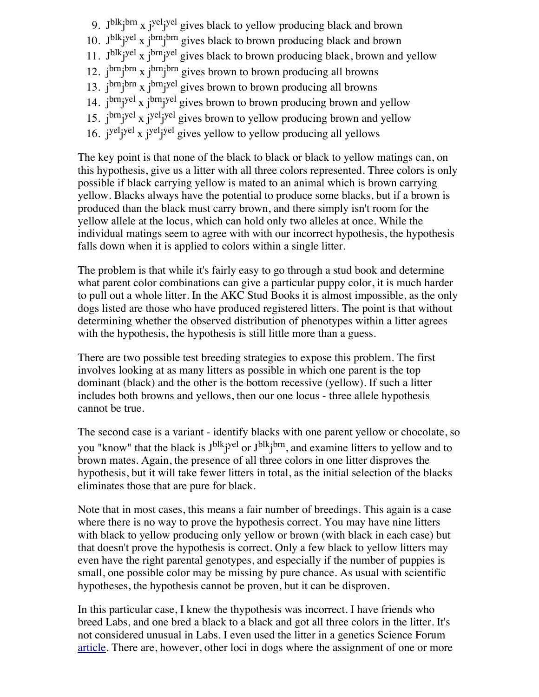- 9. J<sup>blk</sup>j<sup>brn</sup> x j<sup>yel</sup>j<sup>yel</sup> gives black to yellow producing black and brown
- 10. J<sup>blk</sup>j<sup>yel</sup> x j<sup>brn</sup>j<sup>brn</sup> gives black to brown producing black and brown
- 11. J<sup>blk</sup>j<sup>yel</sup> x j<sup>brn</sup>j<sup>yel</sup> gives black to brown producing black, brown and yellow
- 12. j<sup>brn</sup>j<sup>brn</sup> x j<sup>brn</sup>j<sup>brn</sup> gives brown to brown producing all browns
- 13.  $j^{brn}$  j<sup>brn</sup>j<sup>brn</sup> x  $j^{brn}$  j<sup>brn</sup>j<sup>yel</sup> gives brown to brown producing all browns
- 14. j<sup>brn</sup>j<sup>yel</sup> x j<sup>brn</sup>j<sup>yel</sup> gives brown to brown producing brown and yellow
- 15. j<sup>brn</sup>j<sup>yel</sup> x j<sup>yel</sup>j<sup>yel</sup> gives brown to yellow producing brown and yellow
- 16. j<sup>yel</sup>j<sup>yel</sup> x j<sup>yel</sup>j<sup>yel</sup> gives yellow to yellow producing all yellows

The key point is that none of the black to black or black to yellow matings can, on this hypothesis, give us a litter with all three colors represented. Three colors is only possible if black carrying yellow is mated to an animal which is brown carrying yellow. Blacks always have the potential to produce some blacks, but if a brown is produced than the black must carry brown, and there simply isn't room for the yellow allele at the locus, which can hold only two alleles at once. While the individual matings seem to agree with with our incorrect hypothesis, the hypothesis falls down when it is applied to colors within a single litter.

The problem is that while it's fairly easy to go through a stud book and determine what parent color combinations can give a particular puppy color, it is much harder to pull out a whole litter. In the AKC Stud Books it is almost impossible, as the only dogs listed are those who have produced registered litters. The point is that without determining whether the observed distribution of phenotypes within a litter agrees with the hypothesis, the hypothesis is still little more than a guess.

There are two possible test breeding strategies to expose this problem. The first involves looking at as many litters as possible in which one parent is the top dominant (black) and the other is the bottom recessive (yellow). If such a litter includes both browns and yellows, then our one locus - three allele hypothesis cannot be true.

The second case is a variant - identify blacks with one parent yellow or chocolate, so you "know" that the black is J<sup>blk</sup>j<sup>yel</sup> or J<sup>blk</sup>j<sup>brn</sup>, and examine litters to yellow and to brown mates. Again, the presence of all three colors in one litter disproves the hypothesis, but it will take fewer litters in total, as the initial selection of the blacks eliminates those that are pure for black.

Note that in most cases, this means a fair number of breedings. This again is a case where there is no way to prove the hypothesis correct. You may have nine litters with black to yellow producing only yellow or brown (with black in each case) but that doesn't prove the hypothesis is correct. Only a few black to yellow litters may even have the right parental genotypes, and especially if the number of puppies is small, one possible color may be missing by pure chance. As usual with scientific hypotheses, the hypothesis cannot be proven, but it can be disproven.

In this particular case, I knew the thypothesis was incorrect. I have friends who breed Labs, and one bred a black to a black and got all three colors in the litter. It's not considered unusual in Labs. I even used the litter in a genetics Science Forum [article](http://www.gi.alaska.edu/ScienceForum/ASF8/816.html). There are, however, other loci in dogs where the assignment of one or more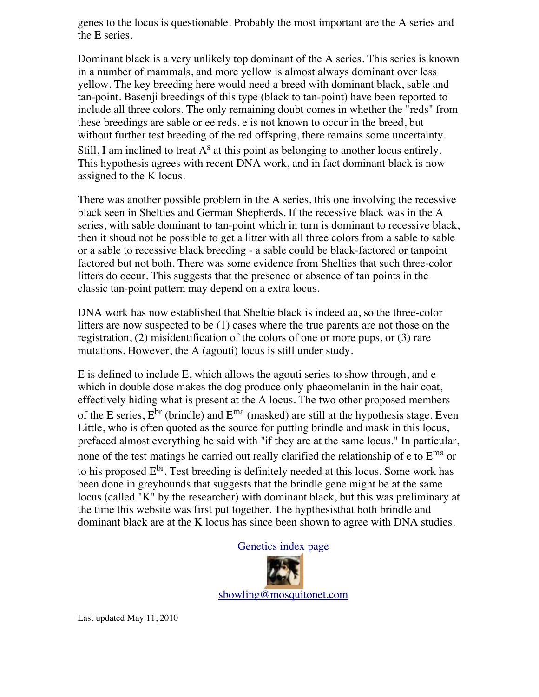genes to the locus is questionable. Probably the most important are the A series and the E series.

Dominant black is a very unlikely top dominant of the A series. This series is known in a number of mammals, and more yellow is almost always dominant over less yellow. The key breeding here would need a breed with dominant black, sable and tan-point. Basenji breedings of this type (black to tan-point) have been reported to include all three colors. The only remaining doubt comes in whether the "reds" from these breedings are sable or ee reds. e is not known to occur in the breed, but without further test breeding of the red offspring, there remains some uncertainty. Still, I am inclined to treat  $A<sup>s</sup>$  at this point as belonging to another locus entirely. This hypothesis agrees with recent DNA work, and in fact dominant black is now assigned to the K locus.

There was another possible problem in the A series, this one involving the recessive black seen in Shelties and German Shepherds. If the recessive black was in the A series, with sable dominant to tan-point which in turn is dominant to recessive black, then it shoud not be possible to get a litter with all three colors from a sable to sable or a sable to recessive black breeding - a sable could be black-factored or tanpoint factored but not both. There was some evidence from Shelties that such three-color litters do occur. This suggests that the presence or absence of tan points in the classic tan-point pattern may depend on a extra locus.

DNA work has now established that Sheltie black is indeed aa, so the three-color litters are now suspected to be (1) cases where the true parents are not those on the registration, (2) misidentification of the colors of one or more pups, or (3) rare mutations. However, the A (agouti) locus is still under study.

E is defined to include E, which allows the agouti series to show through, and e which in double dose makes the dog produce only phaeomelanin in the hair coat, effectively hiding what is present at the A locus. The two other proposed members of the E series,  $E^{br}$  (brindle) and  $E^{ma}$  (masked) are still at the hypothesis stage. Even Little, who is often quoted as the source for putting brindle and mask in this locus, prefaced almost everything he said with "if they are at the same locus." In particular, none of the test matings he carried out really clarified the relationship of e to  $E^{ma}$  or to his proposed  $E^{br}$ . Test breeding is definitely needed at this locus. Some work has been done in greyhounds that suggests that the brindle gene might be at the same locus (called "K" by the researcher) with dominant black, but this was preliminary at the time this website was first put together. The hypthesisthat both brindle and dominant black are at the K locus has since been shown to agree with DNA studies.

[Genetics index page](http://bowlingsite.mcf.com/Genetics/Genetics.html)

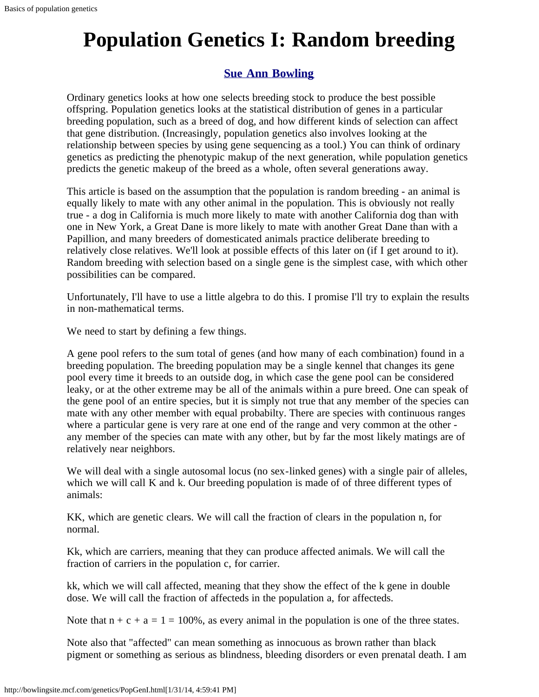# **Population Genetics I: Random breeding**

### **[Sue Ann Bowling](http://www.sueannbowling.com/)**

Ordinary genetics looks at how one selects breeding stock to produce the best possible offspring. Population genetics looks at the statistical distribution of genes in a particular breeding population, such as a breed of dog, and how different kinds of selection can affect that gene distribution. (Increasingly, population genetics also involves looking at the relationship between species by using gene sequencing as a tool.) You can think of ordinary genetics as predicting the phenotypic makup of the next generation, while population genetics predicts the genetic makeup of the breed as a whole, often several generations away.

This article is based on the assumption that the population is random breeding - an animal is equally likely to mate with any other animal in the population. This is obviously not really true - a dog in California is much more likely to mate with another California dog than with one in New York, a Great Dane is more likely to mate with another Great Dane than with a Papillion, and many breeders of domesticated animals practice deliberate breeding to relatively close relatives. We'll look at possible effects of this later on (if I get around to it). Random breeding with selection based on a single gene is the simplest case, with which other possibilities can be compared.

Unfortunately, I'll have to use a little algebra to do this. I promise I'll try to explain the results in non-mathematical terms.

We need to start by defining a few things.

A gene pool refers to the sum total of genes (and how many of each combination) found in a breeding population. The breeding population may be a single kennel that changes its gene pool every time it breeds to an outside dog, in which case the gene pool can be considered leaky, or at the other extreme may be all of the animals within a pure breed. One can speak of the gene pool of an entire species, but it is simply not true that any member of the species can mate with any other member with equal probabilty. There are species with continuous ranges where a particular gene is very rare at one end of the range and very common at the other any member of the species can mate with any other, but by far the most likely matings are of relatively near neighbors.

We will deal with a single autosomal locus (no sex-linked genes) with a single pair of alleles, which we will call K and k. Our breeding population is made of of three different types of animals:

KK, which are genetic clears. We will call the fraction of clears in the population n, for normal.

Kk, which are carriers, meaning that they can produce affected animals. We will call the fraction of carriers in the population c, for carrier.

kk, which we will call affected, meaning that they show the effect of the k gene in double dose. We will call the fraction of affecteds in the population a, for affecteds.

Note that  $n + c + a = 1 = 100\%$ , as every animal in the population is one of the three states.

Note also that "affected" can mean something as innocuous as brown rather than black pigment or something as serious as blindness, bleeding disorders or even prenatal death. I am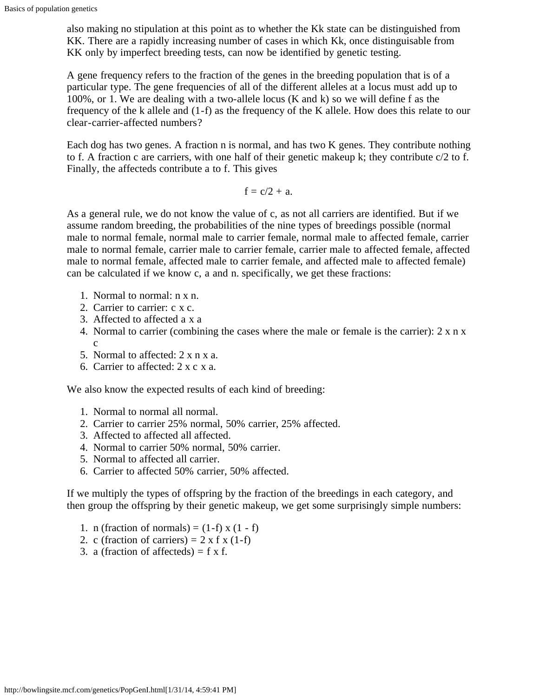also making no stipulation at this point as to whether the Kk state can be distinguished from KK. There are a rapidly increasing number of cases in which Kk, once distinguisable from KK only by imperfect breeding tests, can now be identified by genetic testing.

A gene frequency refers to the fraction of the genes in the breeding population that is of a particular type. The gene frequencies of all of the different alleles at a locus must add up to 100%, or 1. We are dealing with a two-allele locus (K and k) so we will define f as the frequency of the k allele and (1-f) as the frequency of the K allele. How does this relate to our clear-carrier-affected numbers?

Each dog has two genes. A fraction n is normal, and has two K genes. They contribute nothing to f. A fraction c are carriers, with one half of their genetic makeup k; they contribute  $c/2$  to f. Finally, the affecteds contribute a to f. This gives

$$
f=c/2+\,a.
$$

As a general rule, we do not know the value of c, as not all carriers are identified. But if we assume random breeding, the probabilities of the nine types of breedings possible (normal male to normal female, normal male to carrier female, normal male to affected female, carrier male to normal female, carrier male to carrier female, carrier male to affected female, affected male to normal female, affected male to carrier female, and affected male to affected female) can be calculated if we know c, a and n. specifically, we get these fractions:

- 1. Normal to normal:  $n \times n$ .
- 2. Carrier to carrier: c x c.
- 3. Affected to affected a x a
- 4. Normal to carrier (combining the cases where the male or female is the carrier): 2 x n x c
- 5. Normal to affected: 2 x n x a.
- 6. Carrier to affected: 2 x c x a.

We also know the expected results of each kind of breeding:

- 1. Normal to normal all normal.
- 2. Carrier to carrier 25% normal, 50% carrier, 25% affected.
- 3. Affected to affected all affected.
- 4. Normal to carrier 50% normal, 50% carrier.
- 5. Normal to affected all carrier.
- 6. Carrier to affected 50% carrier, 50% affected.

If we multiply the types of offspring by the fraction of the breedings in each category, and then group the offspring by their genetic makeup, we get some surprisingly simple numbers:

- 1. n (fraction of normals) =  $(1-f)$  x  $(1-f)$
- 2. c (fraction of carriers) =  $2 \times f \times (1-f)$
- 3. a (fraction of affecteds) =  $f \times f$ .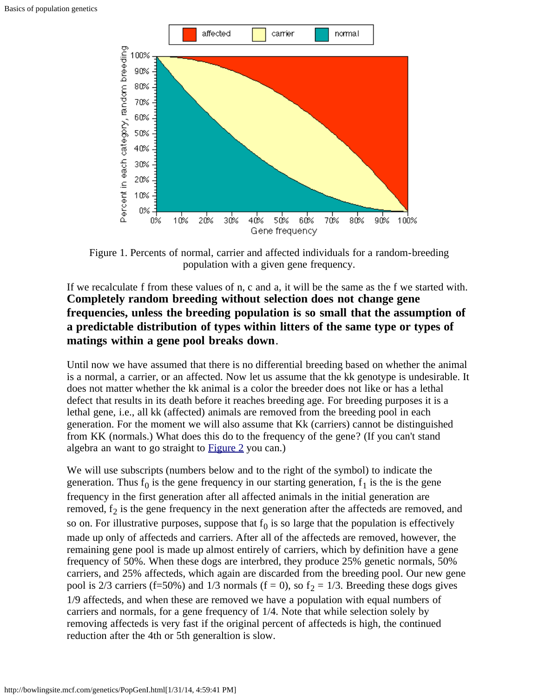

Figure 1. Percents of normal, carrier and affected individuals for a random-breeding population with a given gene frequency.

### If we recalculate f from these values of n, c and a, it will be the same as the f we started with. **Completely random breeding without selection does not change gene frequencies, unless the breeding population is so small that the assumption of a predictable distribution of types within litters of the same type or types of matings within a gene pool breaks down**.

Until now we have assumed that there is no differential breeding based on whether the animal is a normal, a carrier, or an affected. Now let us assume that the kk genotype is undesirable. It does not matter whether the kk animal is a color the breeder does not like or has a lethal defect that results in its death before it reaches breeding age. For breeding purposes it is a lethal gene, i.e., all kk (affected) animals are removed from the breeding pool in each generation. For the moment we will also assume that Kk (carriers) cannot be distinguished from KK (normals.) What does this do to the frequency of the gene? (If you can't stand algebra an want to go straight to [Figure 2](#page-25-0) you can.)

We will use subscripts (numbers below and to the right of the symbol) to indicate the generation. Thus  $f_0$  is the gene frequency in our starting generation,  $f_1$  is the is the gene frequency in the first generation after all affected animals in the initial generation are removed,  $f_2$  is the gene frequency in the next generation after the affecteds are removed, and so on. For illustrative purposes, suppose that  $f_0$  is so large that the population is effectively made up only of affecteds and carriers. After all of the affecteds are removed, however, the remaining gene pool is made up almost entirely of carriers, which by definition have a gene frequency of 50%. When these dogs are interbred, they produce 25% genetic normals, 50% carriers, and 25% affecteds, which again are discarded from the breeding pool. Our new gene pool is 2/3 carriers (f=50%) and 1/3 normals (f = 0), so  $f<sub>2</sub> = 1/3$ . Breeding these dogs gives 1/9 affecteds, and when these are removed we have a population with equal numbers of carriers and normals, for a gene frequency of 1/4. Note that while selection solely by removing affecteds is very fast if the original percent of affecteds is high, the continued reduction after the 4th or 5th generaltion is slow.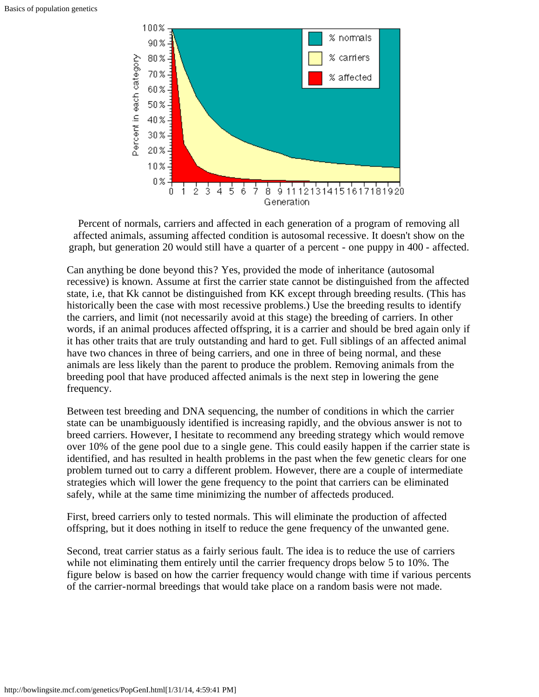

<span id="page-25-0"></span>Percent of normals, carriers and affected in each generation of a program of removing all affected animals, assuming affected condition is autosomal recessive. It doesn't show on the graph, but generation 20 would still have a quarter of a percent - one puppy in 400 - affected.

Can anything be done beyond this? Yes, provided the mode of inheritance (autosomal recessive) is known. Assume at first the carrier state cannot be distinguished from the affected state, i.e, that Kk cannot be distinguished from KK except through breeding results. (This has historically been the case with most recessive problems.) Use the breeding results to identify the carriers, and limit (not necessarily avoid at this stage) the breeding of carriers. In other words, if an animal produces affected offspring, it is a carrier and should be bred again only if it has other traits that are truly outstanding and hard to get. Full siblings of an affected animal have two chances in three of being carriers, and one in three of being normal, and these animals are less likely than the parent to produce the problem. Removing animals from the breeding pool that have produced affected animals is the next step in lowering the gene frequency.

Between test breeding and DNA sequencing, the number of conditions in which the carrier state can be unambiguously identified is increasing rapidly, and the obvious answer is not to breed carriers. However, I hesitate to recommend any breeding strategy which would remove over 10% of the gene pool due to a single gene. This could easily happen if the carrier state is identified, and has resulted in health problems in the past when the few genetic clears for one problem turned out to carry a different problem. However, there are a couple of intermediate strategies which will lower the gene frequency to the point that carriers can be eliminated safely, while at the same time minimizing the number of affecteds produced.

First, breed carriers only to tested normals. This will eliminate the production of affected offspring, but it does nothing in itself to reduce the gene frequency of the unwanted gene.

Second, treat carrier status as a fairly serious fault. The idea is to reduce the use of carriers while not eliminating them entirely until the carrier frequency drops below 5 to 10%. The figure below is based on how the carrier frequency would change with time if various percents of the carrier-normal breedings that would take place on a random basis were not made.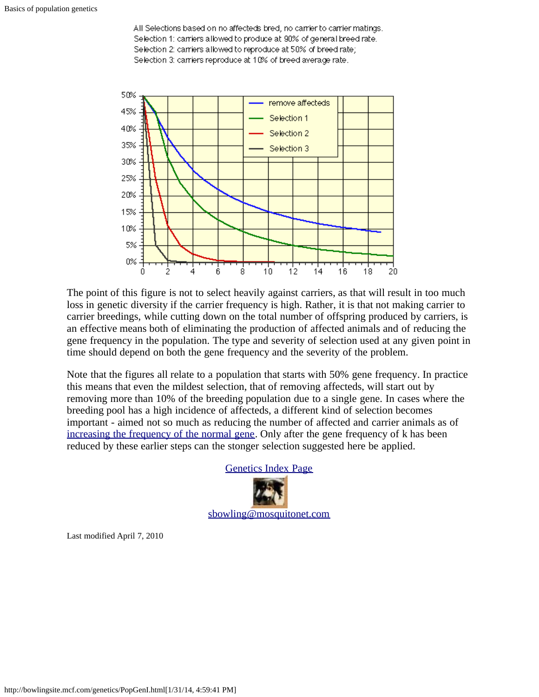All Selections based on no affecteds bred, no carrier to carrier matings. Selection 1: carriers allowed to produce at 90% of general breed rate. Selection 2: carriers allowed to reproduce at 50% of breed rate; Selection 3: carriers reproduce at 10% of breed average rate.



The point of this figure is not to select heavily against carriers, as that will result in too much loss in genetic diversity if the carrier frequency is high. Rather, it is that not making carrier to carrier breedings, while cutting down on the total number of offspring produced by carriers, is an effective means both of eliminating the production of affected animals and of reducing the gene frequency in the population. The type and severity of selection used at any given point in time should depend on both the gene frequency and the severity of the problem.

Note that the figures all relate to a population that starts with 50% gene frequency. In practice this means that even the mildest selection, that of removing affecteds, will start out by removing more than 10% of the breeding population due to a single gene. In cases where the breeding pool has a high incidence of affecteds, a different kind of selection becomes important - aimed not so much as reducing the number of affected and carrier animals as of [increasing the frequency of the normal gene.](http://bowlingsite.mcf.com/genetics/PopGenII.html) Only after the gene frequency of k has been reduced by these earlier steps can the stonger selection suggested here be applied.



Last modified April 7, 2010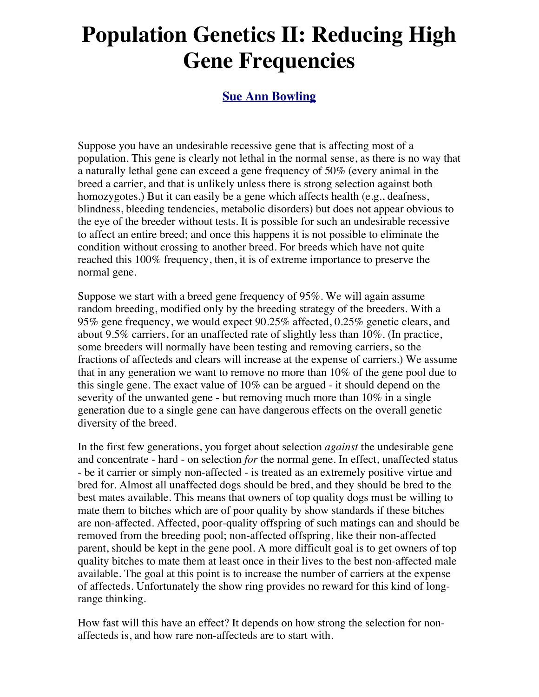# **Population Genetics II: Reducing High Gene Frequencies**

### **[Sue Ann Bowling](http://www.sueannbowling.com/)**

Suppose you have an undesirable recessive gene that is affecting most of a population. This gene is clearly not lethal in the normal sense, as there is no way that a naturally lethal gene can exceed a gene frequency of 50% (every animal in the breed a carrier, and that is unlikely unless there is strong selection against both homozygotes.) But it can easily be a gene which affects health (e.g., deafness, blindness, bleeding tendencies, metabolic disorders) but does not appear obvious to the eye of the breeder without tests. It is possible for such an undesirable recessive to affect an entire breed; and once this happens it is not possible to eliminate the condition without crossing to another breed. For breeds which have not quite reached this 100% frequency, then, it is of extreme importance to preserve the normal gene.

Suppose we start with a breed gene frequency of 95%. We will again assume random breeding, modified only by the breeding strategy of the breeders. With a 95% gene frequency, we would expect 90.25% affected, 0.25% genetic clears, and about 9.5% carriers, for an unaffected rate of slightly less than 10%. (In practice, some breeders will normally have been testing and removing carriers, so the fractions of affecteds and clears will increase at the expense of carriers.) We assume that in any generation we want to remove no more than 10% of the gene pool due to this single gene. The exact value of 10% can be argued - it should depend on the severity of the unwanted gene - but removing much more than 10% in a single generation due to a single gene can have dangerous effects on the overall genetic diversity of the breed.

In the first few generations, you forget about selection *against* the undesirable gene and concentrate - hard - on selection *for* the normal gene. In effect, unaffected status - be it carrier or simply non-affected - is treated as an extremely positive virtue and bred for. Almost all unaffected dogs should be bred, and they should be bred to the best mates available. This means that owners of top quality dogs must be willing to mate them to bitches which are of poor quality by show standards if these bitches are non-affected. Affected, poor-quality offspring of such matings can and should be removed from the breeding pool; non-affected offspring, like their non-affected parent, should be kept in the gene pool. A more difficult goal is to get owners of top quality bitches to mate them at least once in their lives to the best non-affected male available. The goal at this point is to increase the number of carriers at the expense of affecteds. Unfortunately the show ring provides no reward for this kind of longrange thinking.

How fast will this have an effect? It depends on how strong the selection for nonaffecteds is, and how rare non-affecteds are to start with.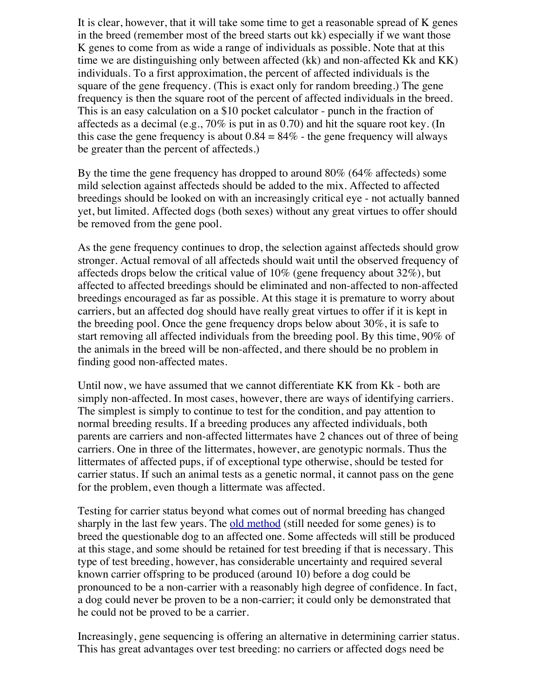It is clear, however, that it will take some time to get a reasonable spread of K genes in the breed (remember most of the breed starts out kk) especially if we want those K genes to come from as wide a range of individuals as possible. Note that at this time we are distinguishing only between affected (kk) and non-affected Kk and KK) individuals. To a first approximation, the percent of affected individuals is the square of the gene frequency. (This is exact only for random breeding.) The gene frequency is then the square root of the percent of affected individuals in the breed. This is an easy calculation on a \$10 pocket calculator - punch in the fraction of affecteds as a decimal (e.g.,  $70\%$  is put in as 0.70) and hit the square root key. (In this case the gene frequency is about  $0.84 = 84\%$  - the gene frequency will always be greater than the percent of affecteds.)

By the time the gene frequency has dropped to around 80% (64% affecteds) some mild selection against affecteds should be added to the mix. Affected to affected breedings should be looked on with an increasingly critical eye - not actually banned yet, but limited. Affected dogs (both sexes) without any great virtues to offer should be removed from the gene pool.

As the gene frequency continues to drop, the selection against affecteds should grow stronger. Actual removal of all affecteds should wait until the observed frequency of affecteds drops below the critical value of 10% (gene frequency about 32%), but affected to affected breedings should be eliminated and non-affected to non-affected breedings encouraged as far as possible. At this stage it is premature to worry about carriers, but an affected dog should have really great virtues to offer if it is kept in the breeding pool. Once the gene frequency drops below about 30%, it is safe to start removing all affected individuals from the breeding pool. By this time, 90% of the animals in the breed will be non-affected, and there should be no problem in finding good non-affected mates.

Until now, we have assumed that we cannot differentiate KK from Kk - both are simply non-affected. In most cases, however, there are ways of identifying carriers. The simplest is simply to continue to test for the condition, and pay attention to normal breeding results. If a breeding produces any affected individuals, both parents are carriers and non-affected littermates have 2 chances out of three of being carriers. One in three of the littermates, however, are genotypic normals. Thus the littermates of affected pups, if of exceptional type otherwise, should be tested for carrier status. If such an animal tests as a genetic normal, it cannot pass on the gene for the problem, even though a littermate was affected.

Testing for carrier status beyond what comes out of normal breeding has changed sharply in the last few years. The [old method](http://bowlingsite.mcf.com/Genetics/Test1.html) (still needed for some genes) is to breed the questionable dog to an affected one. Some affecteds will still be produced at this stage, and some should be retained for test breeding if that is necessary. This type of test breeding, however, has considerable uncertainty and required several known carrier offspring to be produced (around 10) before a dog could be pronounced to be a non-carrier with a reasonably high degree of confidence. In fact, a dog could never be proven to be a non-carrier; it could only be demonstrated that he could not be proved to be a carrier.

Increasingly, gene sequencing is offering an alternative in determining carrier status. This has great advantages over test breeding: no carriers or affected dogs need be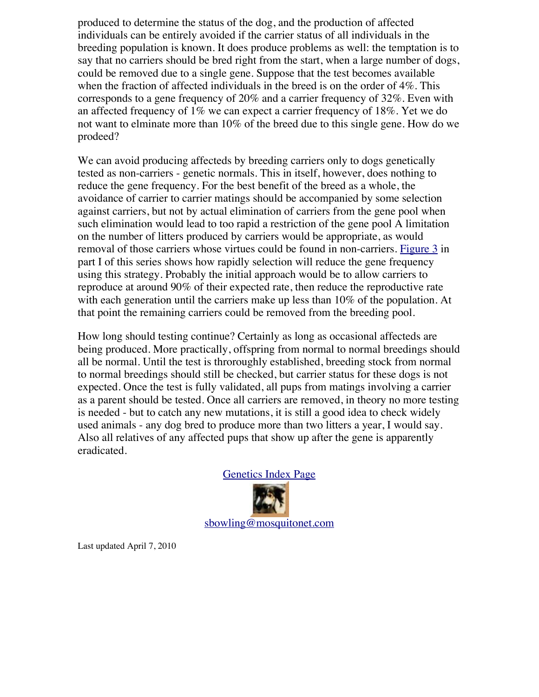produced to determine the status of the dog, and the production of affected individuals can be entirely avoided if the carrier status of all individuals in the breeding population is known. It does produce problems as well: the temptation is to say that no carriers should be bred right from the start, when a large number of dogs, could be removed due to a single gene. Suppose that the test becomes available when the fraction of affected individuals in the breed is on the order of 4%. This corresponds to a gene frequency of 20% and a carrier frequency of 32%. Even with an affected frequency of 1% we can expect a carrier frequency of 18%. Yet we do not want to elminate more than 10% of the breed due to this single gene. How do we prodeed?

We can avoid producing affecteds by breeding carriers only to dogs genetically tested as non-carriers - genetic normals. This in itself, however, does nothing to reduce the gene frequency. For the best benefit of the breed as a whole, the avoidance of carrier to carrier matings should be accompanied by some selection against carriers, but not by actual elimination of carriers from the gene pool when such elimination would lead to too rapid a restriction of the gene pool A limitation on the number of litters produced by carriers would be appropriate, as would removal of those carriers whose virtues could be found in non-carriers. [Figure 3](http://bowlingsite.mcf.com/Genetics/PopGenI.html#Fig3) in part I of this series shows how rapidly selection will reduce the gene frequency using this strategy. Probably the initial approach would be to allow carriers to reproduce at around 90% of their expected rate, then reduce the reproductive rate with each generation until the carriers make up less than 10% of the population. At that point the remaining carriers could be removed from the breeding pool.

How long should testing continue? Certainly as long as occasional affecteds are being produced. More practically, offspring from normal to normal breedings should all be normal. Until the test is throroughly established, breeding stock from normal to normal breedings should still be checked, but carrier status for these dogs is not expected. Once the test is fully validated, all pups from matings involving a carrier as a parent should be tested. Once all carriers are removed, in theory no more testing is needed - but to catch any new mutations, it is still a good idea to check widely used animals - any dog bred to produce more than two litters a year, I would say. Also all relatives of any affected pups that show up after the gene is apparently eradicated.



Last updated April 7, 2010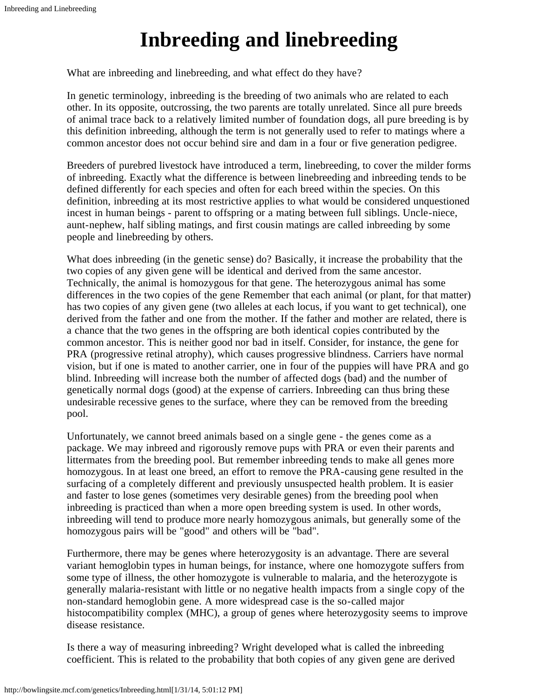# **Inbreeding and linebreeding**

What are inbreeding and linebreeding, and what effect do they have?

In genetic terminology, inbreeding is the breeding of two animals who are related to each other. In its opposite, outcrossing, the two parents are totally unrelated. Since all pure breeds of animal trace back to a relatively limited number of foundation dogs, all pure breeding is by this definition inbreeding, although the term is not generally used to refer to matings where a common ancestor does not occur behind sire and dam in a four or five generation pedigree.

Breeders of purebred livestock have introduced a term, linebreeding, to cover the milder forms of inbreeding. Exactly what the difference is between linebreeding and inbreeding tends to be defined differently for each species and often for each breed within the species. On this definition, inbreeding at its most restrictive applies to what would be considered unquestioned incest in human beings - parent to offspring or a mating between full siblings. Uncle-niece, aunt-nephew, half sibling matings, and first cousin matings are called inbreeding by some people and linebreeding by others.

What does inbreeding (in the genetic sense) do? Basically, it increase the probability that the two copies of any given gene will be identical and derived from the same ancestor. Technically, the animal is homozygous for that gene. The heterozygous animal has some differences in the two copies of the gene Remember that each animal (or plant, for that matter) has two copies of any given gene (two alleles at each locus, if you want to get technical), one derived from the father and one from the mother. If the father and mother are related, there is a chance that the two genes in the offspring are both identical copies contributed by the common ancestor. This is neither good nor bad in itself. Consider, for instance, the gene for PRA (progressive retinal atrophy), which causes progressive blindness. Carriers have normal vision, but if one is mated to another carrier, one in four of the puppies will have PRA and go blind. Inbreeding will increase both the number of affected dogs (bad) and the number of genetically normal dogs (good) at the expense of carriers. Inbreeding can thus bring these undesirable recessive genes to the surface, where they can be removed from the breeding pool.

Unfortunately, we cannot breed animals based on a single gene - the genes come as a package. We may inbreed and rigorously remove pups with PRA or even their parents and littermates from the breeding pool. But remember inbreeding tends to make all genes more homozygous. In at least one breed, an effort to remove the PRA-causing gene resulted in the surfacing of a completely different and previously unsuspected health problem. It is easier and faster to lose genes (sometimes very desirable genes) from the breeding pool when inbreeding is practiced than when a more open breeding system is used. In other words, inbreeding will tend to produce more nearly homozygous animals, but generally some of the homozygous pairs will be "good" and others will be "bad".

Furthermore, there may be genes where heterozygosity is an advantage. There are several variant hemoglobin types in human beings, for instance, where one homozygote suffers from some type of illness, the other homozygote is vulnerable to malaria, and the heterozygote is generally malaria-resistant with little or no negative health impacts from a single copy of the non-standard hemoglobin gene. A more widespread case is the so-called major histocompatibility complex (MHC), a group of genes where heterozygosity seems to improve disease resistance.

Is there a way of measuring inbreeding? Wright developed what is called the inbreeding coefficient. This is related to the probability that both copies of any given gene are derived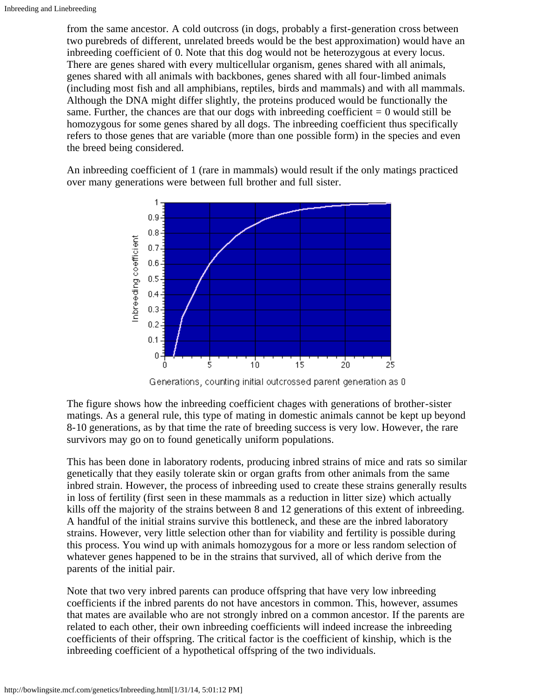from the same ancestor. A cold outcross (in dogs, probably a first-generation cross between two purebreds of different, unrelated breeds would be the best approximation) would have an inbreeding coefficient of 0. Note that this dog would not be heterozygous at every locus. There are genes shared with every multicellular organism, genes shared with all animals, genes shared with all animals with backbones, genes shared with all four-limbed animals (including most fish and all amphibians, reptiles, birds and mammals) and with all mammals. Although the DNA might differ slightly, the proteins produced would be functionally the same. Further, the chances are that our dogs with inbreeding coefficient  $= 0$  would still be homozygous for some genes shared by all dogs. The inbreeding coefficient thus specifically refers to those genes that are variable (more than one possible form) in the species and even the breed being considered.

An inbreeding coefficient of 1 (rare in mammals) would result if the only matings practiced over many generations were between full brother and full sister.



Generations, counting initial outcrossed parent generation as 0

The figure shows how the inbreeding coefficient chages with generations of brother-sister matings. As a general rule, this type of mating in domestic animals cannot be kept up beyond 8-10 generations, as by that time the rate of breeding success is very low. However, the rare survivors may go on to found genetically uniform populations.

This has been done in laboratory rodents, producing inbred strains of mice and rats so similar genetically that they easily tolerate skin or organ grafts from other animals from the same inbred strain. However, the process of inbreeding used to create these strains generally results in loss of fertility (first seen in these mammals as a reduction in litter size) which actually kills off the majority of the strains between 8 and 12 generations of this extent of inbreeding. A handful of the initial strains survive this bottleneck, and these are the inbred laboratory strains. However, very little selection other than for viability and fertility is possible during this process. You wind up with animals homozygous for a more or less random selection of whatever genes happened to be in the strains that survived, all of which derive from the parents of the initial pair.

Note that two very inbred parents can produce offspring that have very low inbreeding coefficients if the inbred parents do not have ancestors in common. This, however, assumes that mates are available who are not strongly inbred on a common ancestor. If the parents are related to each other, their own inbreeding coefficients will indeed increase the inbreeding coefficients of their offspring. The critical factor is the coefficient of kinship, which is the inbreeding coefficient of a hypothetical offspring of the two individuals.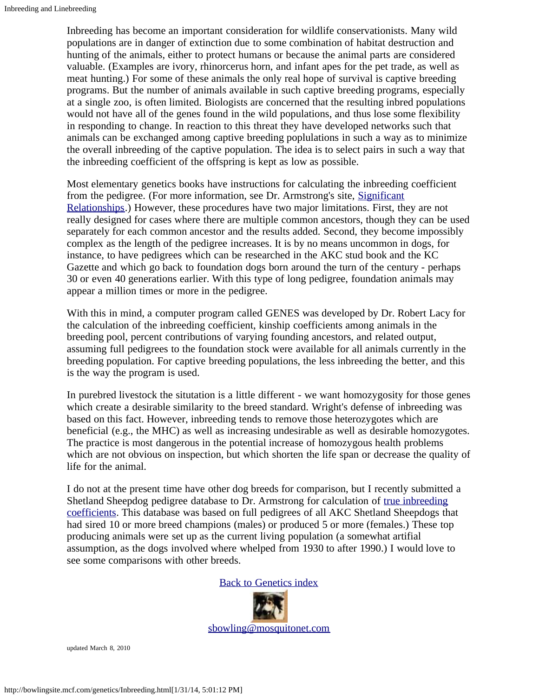Inbreeding has become an important consideration for wildlife conservationists. Many wild populations are in danger of extinction due to some combination of habitat destruction and hunting of the animals, either to protect humans or because the animal parts are considered valuable. (Examples are ivory, rhinorcerus horn, and infant apes for the pet trade, as well as meat hunting.) For some of these animals the only real hope of survival is captive breeding programs. But the number of animals available in such captive breeding programs, especially at a single zoo, is often limited. Biologists are concerned that the resulting inbred populations would not have all of the genes found in the wild populations, and thus lose some flexibility in responding to change. In reaction to this threat they have developed networks such that animals can be exchanged among captive breeding poplulations in such a way as to minimize the overall inbreeding of the captive population. The idea is to select pairs in such a way that the inbreeding coefficient of the offspring is kept as low as possible.

Most elementary genetics books have instructions for calculating the inbreeding coefficient from the pedigree. (For more information, see Dr. Armstrong's site, [Significant](http://www.canine-genetics.com/) [Relationships](http://www.canine-genetics.com/).) However, these procedures have two major limitations. First, they are not really designed for cases where there are multiple common ancestors, though they can be used separately for each common ancestor and the results added. Second, they become impossibly complex as the length of the pedigree increases. It is by no means uncommon in dogs, for instance, to have pedigrees which can be researched in the AKC stud book and the KC Gazette and which go back to foundation dogs born around the turn of the century - perhaps 30 or even 40 generations earlier. With this type of long pedigree, foundation animals may appear a million times or more in the pedigree.

With this in mind, a computer program called GENES was developed by Dr. Robert Lacy for the calculation of the inbreeding coefficient, kinship coefficients among animals in the breeding pool, percent contributions of varying founding ancestors, and related output, assuming full pedigrees to the foundation stock were available for all animals currently in the breeding population. For captive breeding populations, the less inbreeding the better, and this is the way the program is used.

In purebred livestock the situtation is a little different - we want homozygosity for those genes which create a desirable similarity to the breed standard. Wright's defense of inbreeding was based on this fact. However, inbreeding tends to remove those heterozygotes which are beneficial (e.g., the MHC) as well as increasing undesirable as well as desirable homozygotes. The practice is most dangerous in the potential increase of homozygous health problems which are not obvious on inspection, but which shorten the life span or decrease the quality of life for the animal.

I do not at the present time have other dog breeds for comparison, but I recently submitted a Shetland Sheepdog pedigree database to Dr. Armstrong for calculation of [true inbreeding](http://bowlingsite.mcf.com/genetics/Inbreeding2.html) [coefficients](http://bowlingsite.mcf.com/genetics/Inbreeding2.html). This database was based on full pedigrees of all AKC Shetland Sheepdogs that had sired 10 or more breed champions (males) or produced 5 or more (females.) These top producing animals were set up as the current living population (a somewhat artifial assumption, as the dogs involved where whelped from 1930 to after 1990.) I would love to see some comparisons with other breeds.



updated March 8, 2010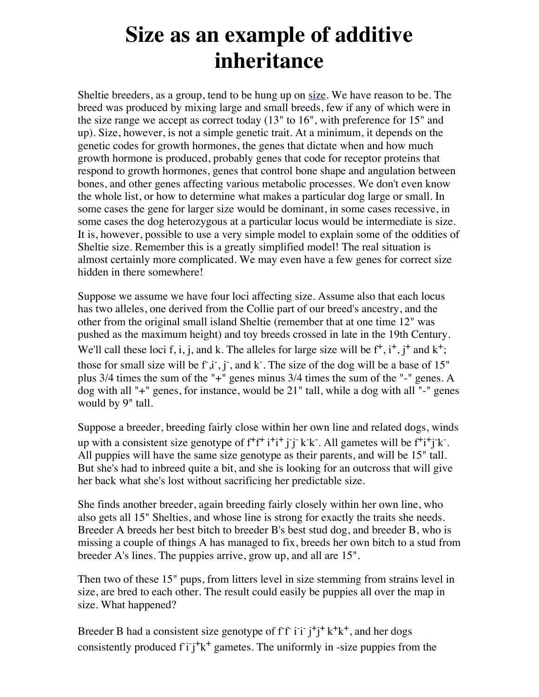## **Size as an example of additive inheritance**

Sheltie breeders, as a group, tend to be hung up on [size.](http://bowlingsite.mcf.com/Size/size.html) We have reason to be. The breed was produced by mixing large and small breeds, few if any of which were in the size range we accept as correct today (13" to 16", with preference for 15" and up). Size, however, is not a simple genetic trait. At a minimum, it depends on the genetic codes for growth hormones, the genes that dictate when and how much growth hormone is produced, probably genes that code for receptor proteins that respond to growth hormones, genes that control bone shape and angulation between bones, and other genes affecting various metabolic processes. We don't even know the whole list, or how to determine what makes a particular dog large or small. In some cases the gene for larger size would be dominant, in some cases recessive, in some cases the dog heterozygous at a particular locus would be intermediate is size. It is, however, possible to use a very simple model to explain some of the oddities of Sheltie size. Remember this is a greatly simplified model! The real situation is almost certainly more complicated. We may even have a few genes for correct size hidden in there somewhere!

Suppose we assume we have four loci affecting size. Assume also that each locus has two alleles, one derived from the Collie part of our breed's ancestry, and the other from the original small island Sheltie (remember that at one time 12" was pushed as the maximum height) and toy breeds crossed in late in the 19th Century. We'll call these loci f, i, j, and k. The alleles for large size will be  $f^+, i^+, j^+$  and  $k^+$ ; those for small size will be  $f^{\dagger}, i^{\dagger}, j^{\dagger}$ , and k<sup>-</sup>. The size of the dog will be a base of 15" plus 3/4 times the sum of the "+" genes minus 3/4 times the sum of the "-" genes. A dog with all "+" genes, for instance, would be 21" tall, while a dog with all "-" genes would by 9" tall.

Suppose a breeder, breeding fairly close within her own line and related dogs, winds up with a consistent size genotype of  $f^+f^+i^+i^+j^+j^-k^-k^-$ . All gametes will be  $f^+i^+j^-k^-$ . All puppies will have the same size genotype as their parents, and will be 15" tall. But she's had to inbreed quite a bit, and she is looking for an outcross that will give her back what she's lost without sacrificing her predictable size.

She finds another breeder, again breeding fairly closely within her own line, who also gets all 15" Shelties, and whose line is strong for exactly the traits she needs. Breeder A breeds her best bitch to breeder B's best stud dog, and breeder B, who is missing a couple of things A has managed to fix, breeds her own bitch to a stud from breeder A's lines. The puppies arrive, grow up, and all are 15".

Then two of these 15" pups, from litters level in size stemming from strains level in size, are bred to each other. The result could easily be puppies all over the map in size. What happened?

Breeder B had a consistent size genotype of  $ff$  i i j<sup>+</sup>j<sup>+</sup> k<sup>+</sup>k<sup>+</sup>, and her dogs consistently produced  $f i j^+ k^+$  gametes. The uniformly in -size puppies from the